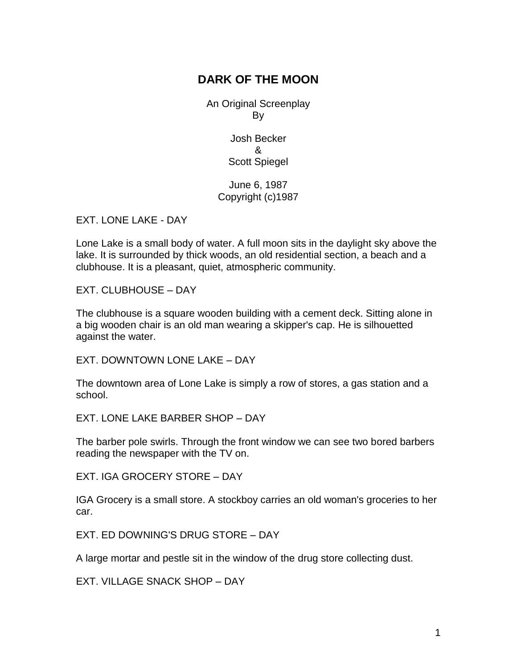# **DARK OF THE MOON**

An Original Screenplay By

> Josh Becker & Scott Spiegel

June 6, 1987 Copyright (c)1987

EXT. LONE LAKE - DAY

Lone Lake is a small body of water. A full moon sits in the daylight sky above the lake. It is surrounded by thick woods, an old residential section, a beach and a clubhouse. It is a pleasant, quiet, atmospheric community.

EXT. CLUBHOUSE – DAY

The clubhouse is a square wooden building with a cement deck. Sitting alone in a big wooden chair is an old man wearing a skipper's cap. He is silhouetted against the water.

EXT. DOWNTOWN LONE LAKE – DAY

The downtown area of Lone Lake is simply a row of stores, a gas station and a school.

EXT. LONE LAKE BARBER SHOP – DAY

The barber pole swirls. Through the front window we can see two bored barbers reading the newspaper with the TV on.

EXT. IGA GROCERY STORE – DAY

IGA Grocery is a small store. A stockboy carries an old woman's groceries to her car.

EXT. ED DOWNING'S DRUG STORE – DAY

A large mortar and pestle sit in the window of the drug store collecting dust.

EXT. VILLAGE SNACK SHOP – DAY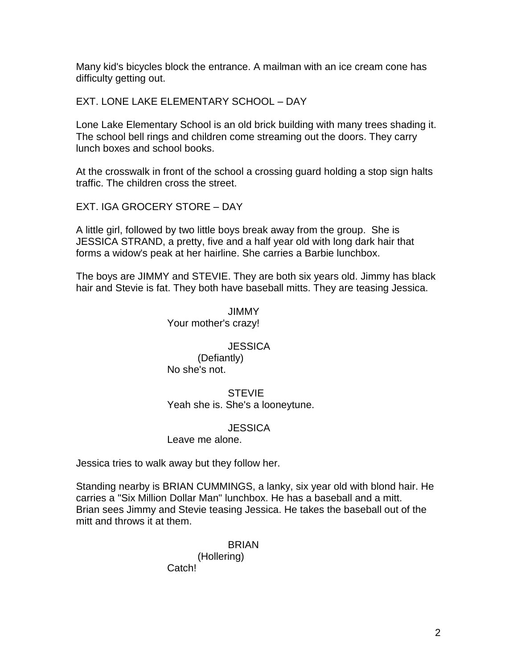Many kid's bicycles block the entrance. A mailman with an ice cream cone has difficulty getting out.

EXT. LONE LAKE ELEMENTARY SCHOOL – DAY

Lone Lake Elementary School is an old brick building with many trees shading it. The school bell rings and children come streaming out the doors. They carry lunch boxes and school books.

At the crosswalk in front of the school a crossing guard holding a stop sign halts traffic. The children cross the street.

EXT. IGA GROCERY STORE – DAY

A little girl, followed by two little boys break away from the group. She is JESSICA STRAND, a pretty, five and a half year old with long dark hair that forms a widow's peak at her hairline. She carries a Barbie lunchbox.

The boys are JIMMY and STEVIE. They are both six years old. Jimmy has black hair and Stevie is fat. They both have baseball mitts. They are teasing Jessica.

> JIMMY Your mother's crazy!

### JESSICA

(Defiantly) No she's not.

**STEVIE** Yeah she is. She's a looneytune.

# **JESSICA**

# Leave me alone.

Jessica tries to walk away but they follow her.

Standing nearby is BRIAN CUMMINGS, a lanky, six year old with blond hair. He carries a "Six Million Dollar Man" lunchbox. He has a baseball and a mitt. Brian sees Jimmy and Stevie teasing Jessica. He takes the baseball out of the mitt and throws it at them.

### **BRIAN**

(Hollering) Catch!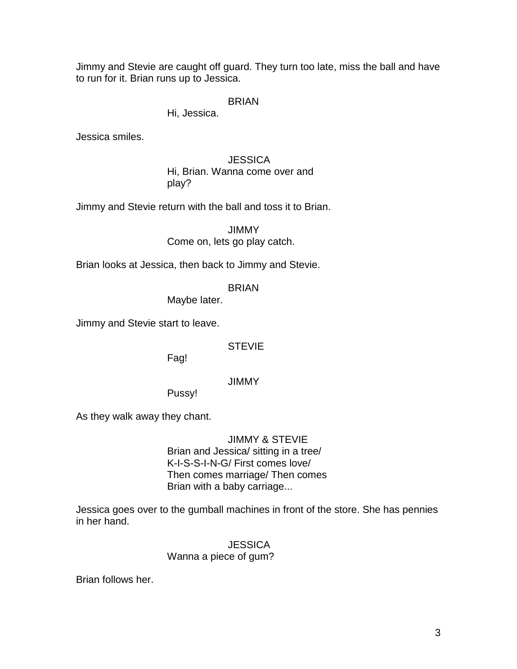Jimmy and Stevie are caught off guard. They turn too late, miss the ball and have to run for it. Brian runs up to Jessica.

#### BRIAN

Hi, Jessica.

Jessica smiles.

**JESSICA** Hi, Brian. Wanna come over and play?

Jimmy and Stevie return with the ball and toss it to Brian.

JIMMY Come on, lets go play catch.

Brian looks at Jessica, then back to Jimmy and Stevie.

**BRIAN** 

Maybe later.

Jimmy and Stevie start to leave.

**STEVIE** 

Fag!

#### JIMMY

Pussy!

As they walk away they chant.

# JIMMY & STEVIE

Brian and Jessica/ sitting in a tree/ K-I-S-S-I-N-G/ First comes love/ Then comes marriage/ Then comes Brian with a baby carriage...

Jessica goes over to the gumball machines in front of the store. She has pennies in her hand.

# **JESSICA** Wanna a piece of gum?

Brian follows her.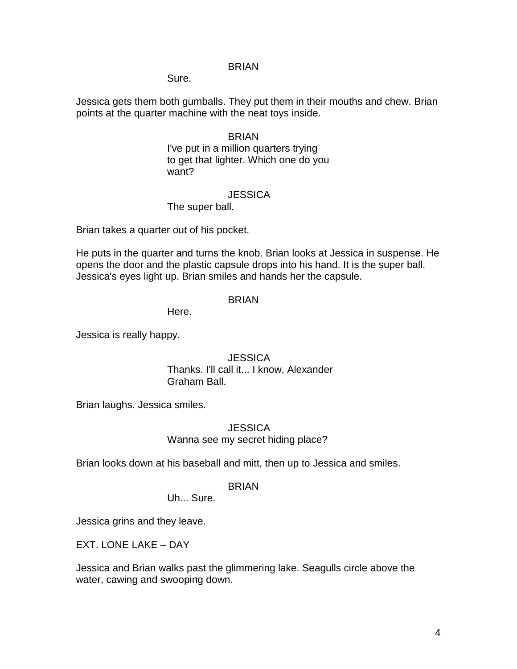### BRIAN

Sure.

Jessica gets them both gumballs. They put them in their mouths and chew. Brian points at the quarter machine with the neat toys inside.

#### BRIAN

I've put in a million quarters trying to get that lighter. Which one do you want?

#### **JESSICA**

The super ball.

Brian takes a quarter out of his pocket.

He puts in the quarter and turns the knob. Brian looks at Jessica in suspense. He opens the door and the plastic capsule drops into his hand. It is the super ball. Jessica's eyes light up. Brian smiles and hands her the capsule.

#### BRIAN

Here.

Jessica is really happy.

# **JESSICA** Thanks. I'll call it... I know, Alexander

Graham Ball.

Brian laughs. Jessica smiles.

### **JESSICA**

### Wanna see my secret hiding place?

Brian looks down at his baseball and mitt, then up to Jessica and smiles.

#### **BRIAN**

Uh... Sure.

Jessica grins and they leave.

EXT. LONE LAKE – DAY

Jessica and Brian walks past the glimmering lake. Seagulls circle above the water, cawing and swooping down.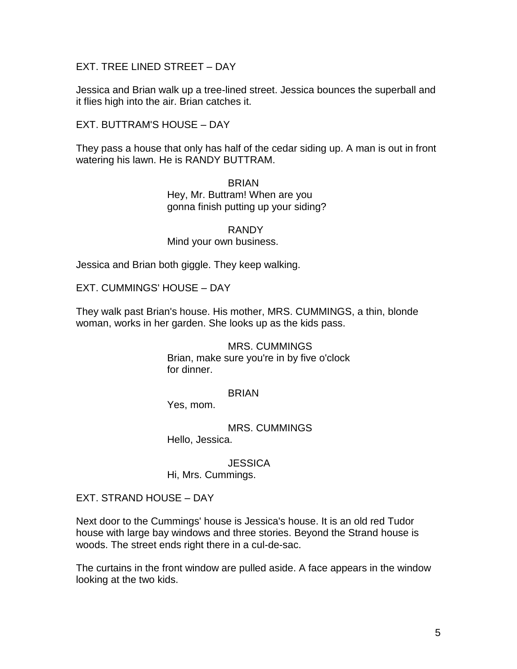### EXT. TREE LINED STREET – DAY

Jessica and Brian walk up a tree-lined street. Jessica bounces the superball and it flies high into the air. Brian catches it.

EXT. BUTTRAM'S HOUSE – DAY

They pass a house that only has half of the cedar siding up. A man is out in front watering his lawn. He is RANDY BUTTRAM.

> BRIAN Hey, Mr. Buttram! When are you gonna finish putting up your siding?

RANDY Mind your own business.

Jessica and Brian both giggle. They keep walking.

EXT. CUMMINGS' HOUSE – DAY

They walk past Brian's house. His mother, MRS. CUMMINGS, a thin, blonde woman, works in her garden. She looks up as the kids pass.

### MRS. CUMMINGS

Brian, make sure you're in by five o'clock for dinner.

#### BRIAN

Yes, mom.

#### MRS. CUMMINGS Hello, Jessica.

JESSICA

Hi, Mrs. Cummings.

EXT. STRAND HOUSE – DAY

Next door to the Cummings' house is Jessica's house. It is an old red Tudor house with large bay windows and three stories. Beyond the Strand house is woods. The street ends right there in a cul-de-sac.

The curtains in the front window are pulled aside. A face appears in the window looking at the two kids.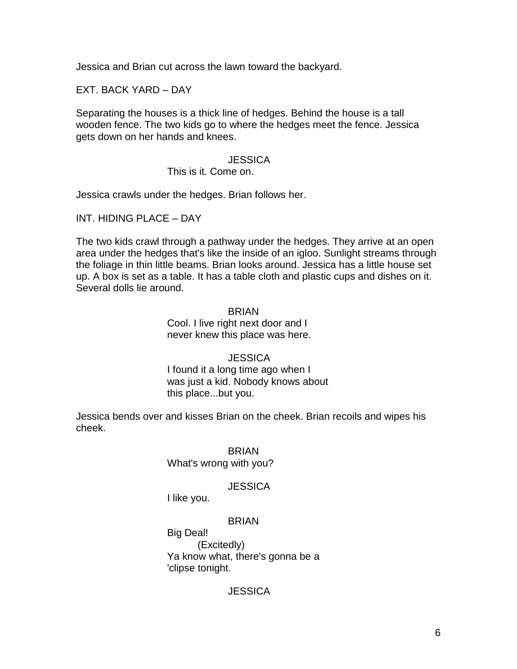Jessica and Brian cut across the lawn toward the backyard.

EXT. BACK YARD – DAY

Separating the houses is a thick line of hedges. Behind the house is a tall wooden fence. The two kids go to where the hedges meet the fence. Jessica gets down on her hands and knees.

### **JESSICA**

This is it. Come on.

Jessica crawls under the hedges. Brian follows her.

INT. HIDING PLACE – DAY

The two kids crawl through a pathway under the hedges. They arrive at an open area under the hedges that's like the inside of an igloo. Sunlight streams through the foliage in thin little beams. Brian looks around. Jessica has a little house set up. A box is set as a table. It has a table cloth and plastic cups and dishes on it. Several dolls lie around.

#### BRIAN

Cool. I live right next door and I never knew this place was here.

#### **JESSICA**

I found it a long time ago when I was just a kid. Nobody knows about this place...but you.

Jessica bends over and kisses Brian on the cheek. Brian recoils and wipes his cheek.

#### BRIAN

What's wrong with you?

#### JESSICA

I like you.

#### BRIAN

Big Deal! (Excitedly) Ya know what, there's gonna be a 'clipse tonight.

#### **JESSICA**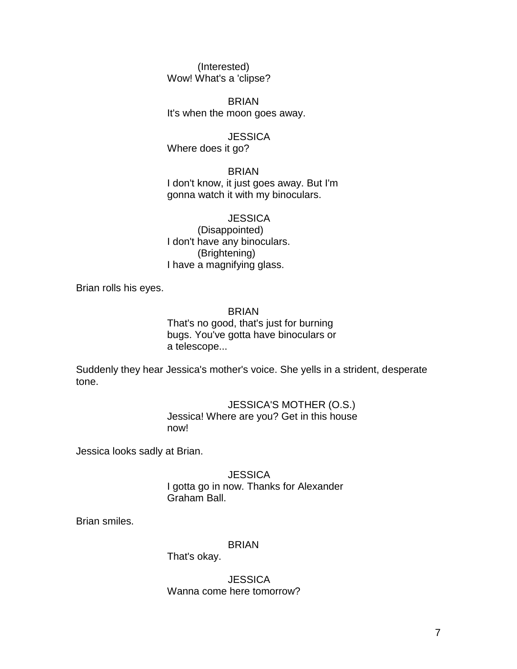(Interested) Wow! What's a 'clipse?

BRIAN It's when the moon goes away.

**JESSICA** 

Where does it go?

BRIAN I don't know, it just goes away. But I'm gonna watch it with my binoculars.

**JESSICA** (Disappointed) I don't have any binoculars. (Brightening) I have a magnifying glass.

Brian rolls his eyes.

BRIAN

That's no good, that's just for burning bugs. You've gotta have binoculars or a telescope...

Suddenly they hear Jessica's mother's voice. She yells in a strident, desperate tone.

> JESSICA'S MOTHER (O.S.) Jessica! Where are you? Get in this house now!

Jessica looks sadly at Brian.

**JESSICA** I gotta go in now. Thanks for Alexander Graham Ball.

Brian smiles.

BRIAN

That's okay.

**JESSICA** Wanna come here tomorrow?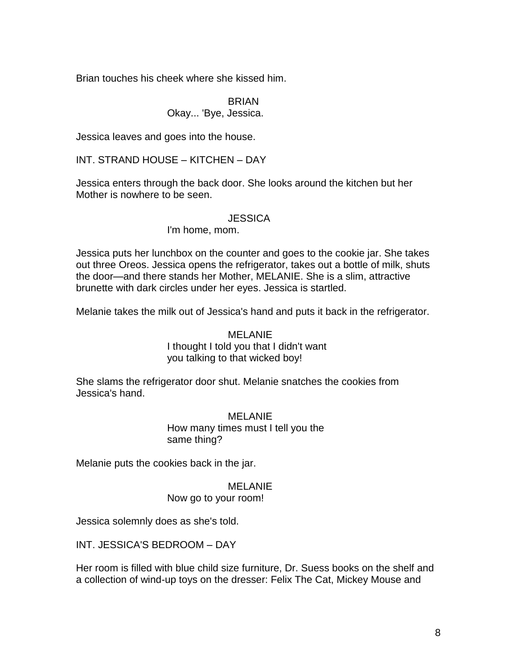Brian touches his cheek where she kissed him.

# BRIAN Okay... 'Bye, Jessica.

Jessica leaves and goes into the house.

INT. STRAND HOUSE – KITCHEN – DAY

Jessica enters through the back door. She looks around the kitchen but her Mother is nowhere to be seen.

### **JESSICA**

I'm home, mom.

Jessica puts her lunchbox on the counter and goes to the cookie jar. She takes out three Oreos. Jessica opens the refrigerator, takes out a bottle of milk, shuts the door—and there stands her Mother, MELANIE. She is a slim, attractive brunette with dark circles under her eyes. Jessica is startled.

Melanie takes the milk out of Jessica's hand and puts it back in the refrigerator.

# MELANIE I thought I told you that I didn't want you talking to that wicked boy!

She slams the refrigerator door shut. Melanie snatches the cookies from Jessica's hand.

### MELANIE How many times must I tell you the same thing?

Melanie puts the cookies back in the jar.

### MELANIE

Now go to your room!

Jessica solemnly does as she's told.

INT. JESSICA'S BEDROOM – DAY

Her room is filled with blue child size furniture, Dr. Suess books on the shelf and a collection of wind-up toys on the dresser: Felix The Cat, Mickey Mouse and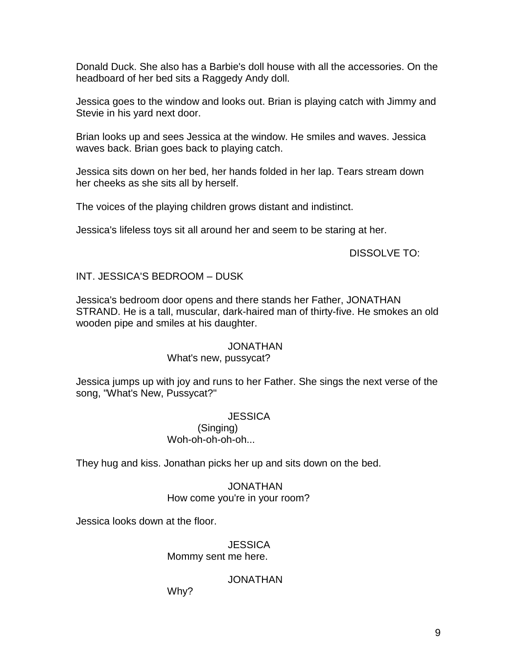Donald Duck. She also has a Barbie's doll house with all the accessories. On the headboard of her bed sits a Raggedy Andy doll.

Jessica goes to the window and looks out. Brian is playing catch with Jimmy and Stevie in his yard next door.

Brian looks up and sees Jessica at the window. He smiles and waves. Jessica waves back. Brian goes back to playing catch.

Jessica sits down on her bed, her hands folded in her lap. Tears stream down her cheeks as she sits all by herself.

The voices of the playing children grows distant and indistinct.

Jessica's lifeless toys sit all around her and seem to be staring at her.

### DISSOLVE TO:

### INT. JESSICA'S BEDROOM – DUSK

Jessica's bedroom door opens and there stands her Father, JONATHAN STRAND. He is a tall, muscular, dark-haired man of thirty-five. He smokes an old wooden pipe and smiles at his daughter.

### JONATHAN

# What's new, pussycat?

Jessica jumps up with joy and runs to her Father. She sings the next verse of the song, "What's New, Pussycat?"

### **JESSICA**

# (Singing)

Woh-oh-oh-oh-oh...

They hug and kiss. Jonathan picks her up and sits down on the bed.

# JONATHAN

### How come you're in your room?

Jessica looks down at the floor.

# **JESSICA**

Mommy sent me here.

# JONATHAN

Why?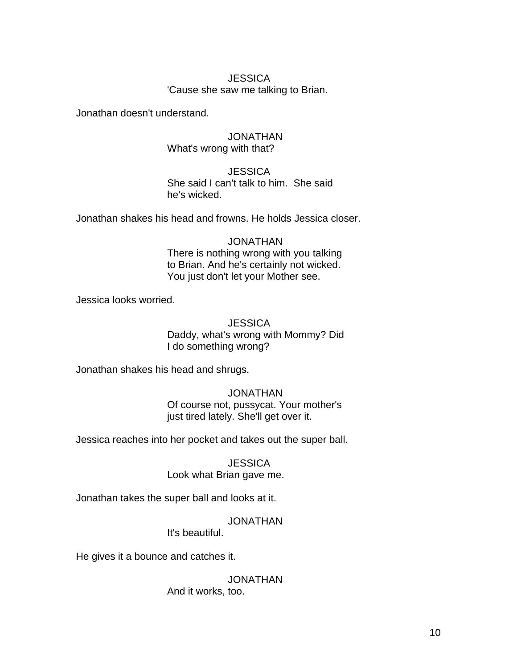### **JESSICA** 'Cause she saw me talking to Brian.

Jonathan doesn't understand.

### JONATHAN What's wrong with that?

# **JESSICA**

She said I can't talk to him. She said he's wicked.

Jonathan shakes his head and frowns. He holds Jessica closer.

# JONATHAN There is nothing wrong with you talking to Brian. And he's certainly not wicked. You just don't let your Mother see.

Jessica looks worried.

### **JESSICA** Daddy, what's wrong with Mommy? Did I do something wrong?

Jonathan shakes his head and shrugs.

# JONATHAN Of course not, pussycat. Your mother's just tired lately. She'll get over it.

Jessica reaches into her pocket and takes out the super ball.

### **JESSICA** Look what Brian gave me.

Jonathan takes the super ball and looks at it.

# JONATHAN

It's beautiful.

He gives it a bounce and catches it.

### JONATHAN And it works, too.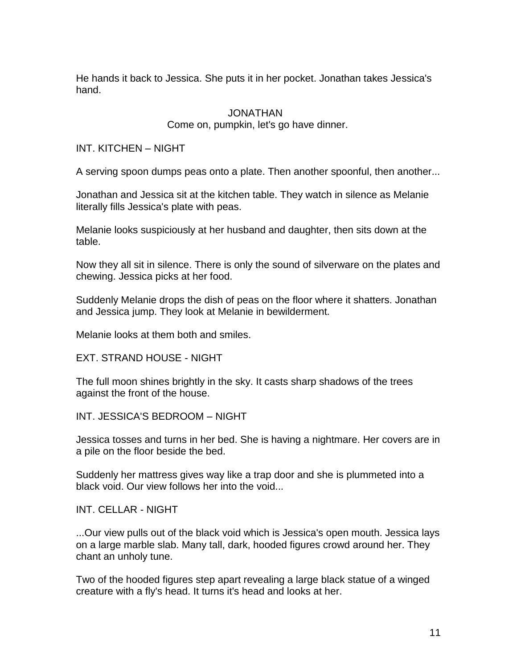He hands it back to Jessica. She puts it in her pocket. Jonathan takes Jessica's hand.

# JONATHAN

Come on, pumpkin, let's go have dinner.

### INT. KITCHEN – NIGHT

A serving spoon dumps peas onto a plate. Then another spoonful, then another...

Jonathan and Jessica sit at the kitchen table. They watch in silence as Melanie literally fills Jessica's plate with peas.

Melanie looks suspiciously at her husband and daughter, then sits down at the table.

Now they all sit in silence. There is only the sound of silverware on the plates and chewing. Jessica picks at her food.

Suddenly Melanie drops the dish of peas on the floor where it shatters. Jonathan and Jessica jump. They look at Melanie in bewilderment.

Melanie looks at them both and smiles.

EXT. STRAND HOUSE - NIGHT

The full moon shines brightly in the sky. It casts sharp shadows of the trees against the front of the house.

INT. JESSICA'S BEDROOM – NIGHT

Jessica tosses and turns in her bed. She is having a nightmare. Her covers are in a pile on the floor beside the bed.

Suddenly her mattress gives way like a trap door and she is plummeted into a black void. Our view follows her into the void...

INT. CELLAR - NIGHT

...Our view pulls out of the black void which is Jessica's open mouth. Jessica lays on a large marble slab. Many tall, dark, hooded figures crowd around her. They chant an unholy tune.

Two of the hooded figures step apart revealing a large black statue of a winged creature with a fly's head. It turns it's head and looks at her.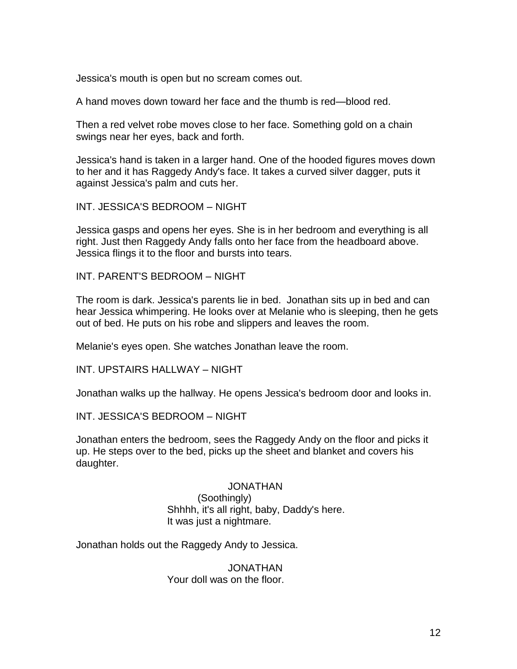Jessica's mouth is open but no scream comes out.

A hand moves down toward her face and the thumb is red—blood red.

Then a red velvet robe moves close to her face. Something gold on a chain swings near her eyes, back and forth.

Jessica's hand is taken in a larger hand. One of the hooded figures moves down to her and it has Raggedy Andy's face. It takes a curved silver dagger, puts it against Jessica's palm and cuts her.

INT. JESSICA'S BEDROOM – NIGHT

Jessica gasps and opens her eyes. She is in her bedroom and everything is all right. Just then Raggedy Andy falls onto her face from the headboard above. Jessica flings it to the floor and bursts into tears.

INT. PARENT'S BEDROOM – NIGHT

The room is dark. Jessica's parents lie in bed. Jonathan sits up in bed and can hear Jessica whimpering. He looks over at Melanie who is sleeping, then he gets out of bed. He puts on his robe and slippers and leaves the room.

Melanie's eyes open. She watches Jonathan leave the room.

INT. UPSTAIRS HALLWAY – NIGHT

Jonathan walks up the hallway. He opens Jessica's bedroom door and looks in.

INT. JESSICA'S BEDROOM – NIGHT

Jonathan enters the bedroom, sees the Raggedy Andy on the floor and picks it up. He steps over to the bed, picks up the sheet and blanket and covers his daughter.

#### JONATHAN

(Soothingly) Shhhh, it's all right, baby, Daddy's here. It was just a nightmare.

Jonathan holds out the Raggedy Andy to Jessica.

JONATHAN Your doll was on the floor.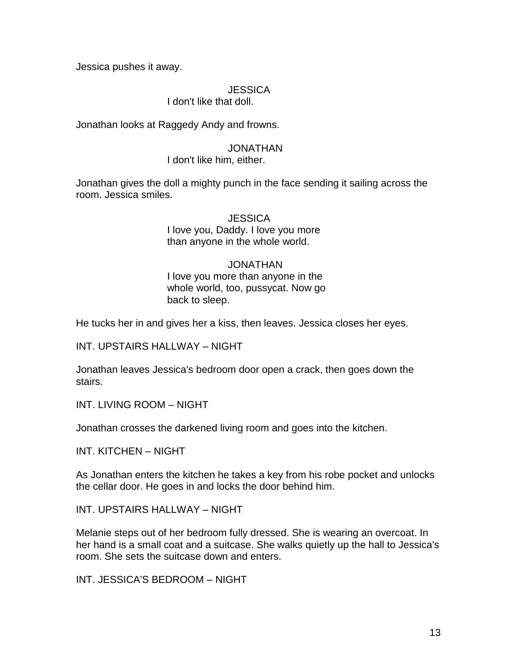Jessica pushes it away.

### **JESSICA**

I don't like that doll.

Jonathan looks at Raggedy Andy and frowns.

### JONATHAN

# I don't like him, either.

Jonathan gives the doll a mighty punch in the face sending it sailing across the room. Jessica smiles.

### **JESSICA** I love you, Daddy. I love you more than anyone in the whole world.

# JONATHAN

I love you more than anyone in the whole world, too, pussycat. Now go back to sleep.

He tucks her in and gives her a kiss, then leaves. Jessica closes her eyes.

INT. UPSTAIRS HALLWAY – NIGHT

Jonathan leaves Jessica's bedroom door open a crack, then goes down the stairs.

INT. LIVING ROOM – NIGHT

Jonathan crosses the darkened living room and goes into the kitchen.

INT. KITCHEN – NIGHT

As Jonathan enters the kitchen he takes a key from his robe pocket and unlocks the cellar door. He goes in and locks the door behind him.

INT. UPSTAIRS HALLWAY – NIGHT

Melanie steps out of her bedroom fully dressed. She is wearing an overcoat. In her hand is a small coat and a suitcase. She walks quietly up the hall to Jessica's room. She sets the suitcase down and enters.

INT. JESSICA'S BEDROOM – NIGHT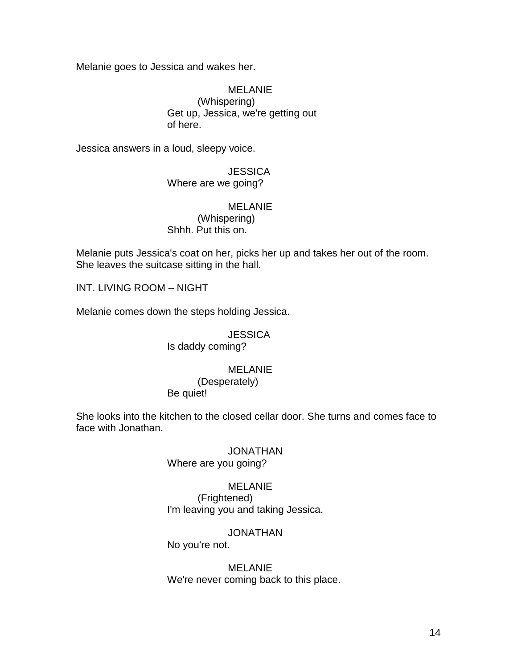Melanie goes to Jessica and wakes her.

MELANIE (Whispering) Get up, Jessica, we're getting out of here.

Jessica answers in a loud, sleepy voice.

**JESSICA** Where are we going?

MELANIE (Whispering) Shhh. Put this on.

Melanie puts Jessica's coat on her, picks her up and takes her out of the room. She leaves the suitcase sitting in the hall.

INT. LIVING ROOM – NIGHT

Melanie comes down the steps holding Jessica.

# **JESSICA**

Is daddy coming?

### MELANIE

#### (Desperately) Be quiet!

She looks into the kitchen to the closed cellar door. She turns and comes face to face with Jonathan.

### JONATHAN Where are you going?

### MELANIE

(Frightened) I'm leaving you and taking Jessica.

# JONATHAN

No you're not.

# MELANIE

We're never coming back to this place.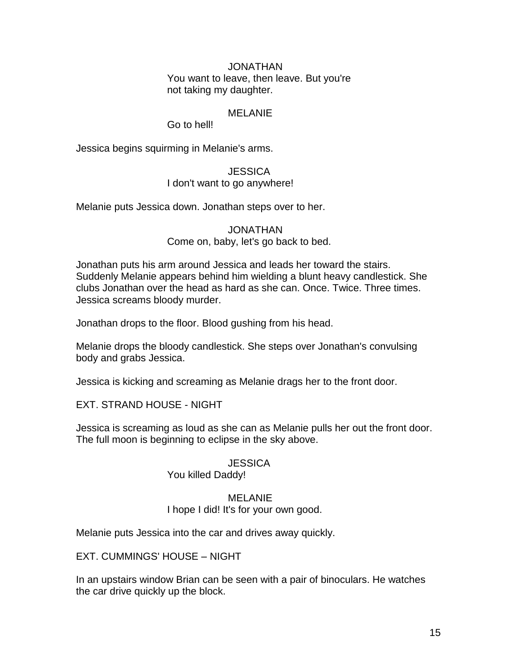### JONATHAN

You want to leave, then leave. But you're not taking my daughter.

### MELANIE

Go to hell!

Jessica begins squirming in Melanie's arms.

### **JESSICA**

# I don't want to go anywhere!

Melanie puts Jessica down. Jonathan steps over to her.

### JONATHAN Come on, baby, let's go back to bed.

Jonathan puts his arm around Jessica and leads her toward the stairs. Suddenly Melanie appears behind him wielding a blunt heavy candlestick. She clubs Jonathan over the head as hard as she can. Once. Twice. Three times. Jessica screams bloody murder.

Jonathan drops to the floor. Blood gushing from his head.

Melanie drops the bloody candlestick. She steps over Jonathan's convulsing body and grabs Jessica.

Jessica is kicking and screaming as Melanie drags her to the front door.

EXT. STRAND HOUSE - NIGHT

Jessica is screaming as loud as she can as Melanie pulls her out the front door. The full moon is beginning to eclipse in the sky above.

### JESSICA

You killed Daddy!

# MELANIE

I hope I did! It's for your own good.

Melanie puts Jessica into the car and drives away quickly.

EXT. CUMMINGS' HOUSE – NIGHT

In an upstairs window Brian can be seen with a pair of binoculars. He watches the car drive quickly up the block.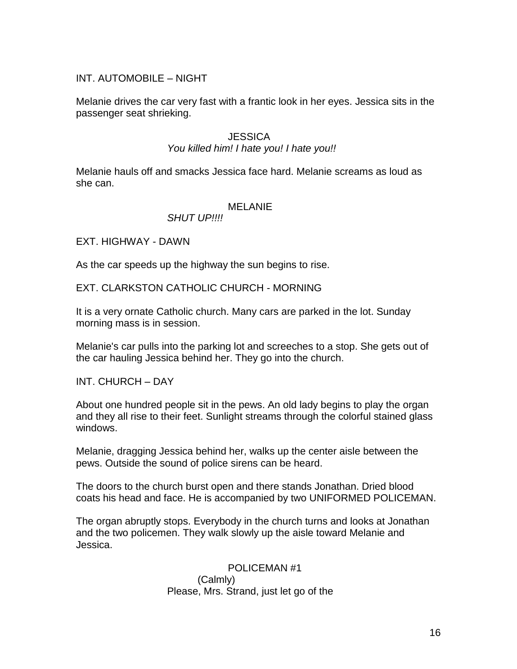# INT. AUTOMOBILE – NIGHT

Melanie drives the car very fast with a frantic look in her eyes. Jessica sits in the passenger seat shrieking.

#### JESSICA

### *You killed him! I hate you! I hate you!!*

Melanie hauls off and smacks Jessica face hard. Melanie screams as loud as she can.

### MELANIE

### *SHUT UP!!!!*

EXT. HIGHWAY - DAWN

As the car speeds up the highway the sun begins to rise.

EXT. CLARKSTON CATHOLIC CHURCH - MORNING

It is a very ornate Catholic church. Many cars are parked in the lot. Sunday morning mass is in session.

Melanie's car pulls into the parking lot and screeches to a stop. She gets out of the car hauling Jessica behind her. They go into the church.

INT. CHURCH – DAY

About one hundred people sit in the pews. An old lady begins to play the organ and they all rise to their feet. Sunlight streams through the colorful stained glass windows.

Melanie, dragging Jessica behind her, walks up the center aisle between the pews. Outside the sound of police sirens can be heard.

The doors to the church burst open and there stands Jonathan. Dried blood coats his head and face. He is accompanied by two UNIFORMED POLICEMAN.

The organ abruptly stops. Everybody in the church turns and looks at Jonathan and the two policemen. They walk slowly up the aisle toward Melanie and Jessica.

> POLICEMAN #1 (Calmly) Please, Mrs. Strand, just let go of the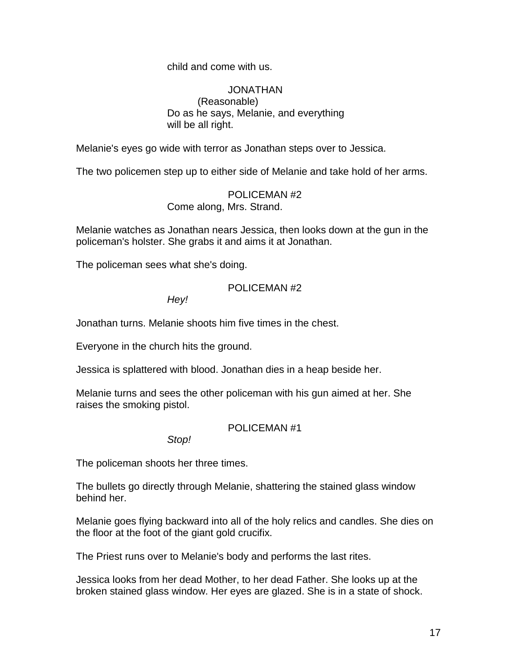### child and come with us.

### JONATHAN (Reasonable) Do as he says, Melanie, and everything will be all right.

Melanie's eyes go wide with terror as Jonathan steps over to Jessica.

The two policemen step up to either side of Melanie and take hold of her arms.

### POLICEMAN #2 Come along, Mrs. Strand.

Melanie watches as Jonathan nears Jessica, then looks down at the gun in the policeman's holster. She grabs it and aims it at Jonathan.

The policeman sees what she's doing.

### POLICEMAN #2

*Hey!*

Jonathan turns. Melanie shoots him five times in the chest.

Everyone in the church hits the ground.

Jessica is splattered with blood. Jonathan dies in a heap beside her.

Melanie turns and sees the other policeman with his gun aimed at her. She raises the smoking pistol.

### POLICEMAN #1

*Stop!*

The policeman shoots her three times.

The bullets go directly through Melanie, shattering the stained glass window behind her.

Melanie goes flying backward into all of the holy relics and candles. She dies on the floor at the foot of the giant gold crucifix.

The Priest runs over to Melanie's body and performs the last rites.

Jessica looks from her dead Mother, to her dead Father. She looks up at the broken stained glass window. Her eyes are glazed. She is in a state of shock.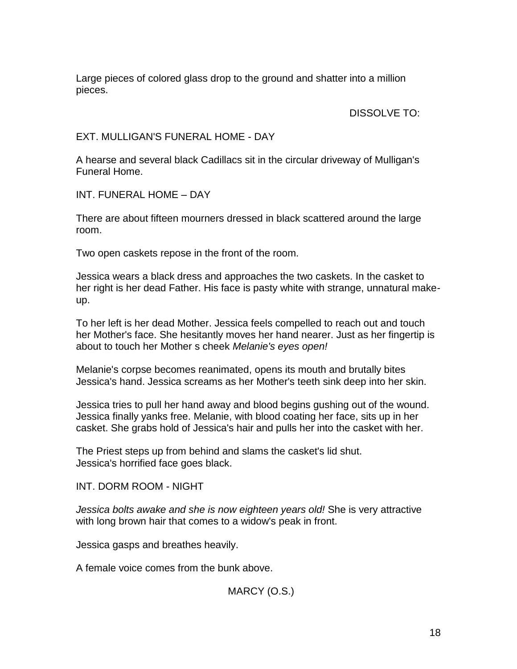Large pieces of colored glass drop to the ground and shatter into a million pieces.

DISSOLVE TO:

# EXT. MULLIGAN'S FUNERAL HOME - DAY

A hearse and several black Cadillacs sit in the circular driveway of Mulligan's Funeral Home.

INT. FUNERAL HOME – DAY

There are about fifteen mourners dressed in black scattered around the large room.

Two open caskets repose in the front of the room.

Jessica wears a black dress and approaches the two caskets. In the casket to her right is her dead Father. His face is pasty white with strange, unnatural makeup.

To her left is her dead Mother. Jessica feels compelled to reach out and touch her Mother's face. She hesitantly moves her hand nearer. Just as her fingertip is about to touch her Mother s cheek *Melanie's eyes open!*

Melanie's corpse becomes reanimated, opens its mouth and brutally bites Jessica's hand. Jessica screams as her Mother's teeth sink deep into her skin.

Jessica tries to pull her hand away and blood begins gushing out of the wound. Jessica finally yanks free. Melanie, with blood coating her face, sits up in her casket. She grabs hold of Jessica's hair and pulls her into the casket with her.

The Priest steps up from behind and slams the casket's lid shut. Jessica's horrified face goes black.

INT. DORM ROOM - NIGHT

*Jessica bolts awake and she is now eighteen years old!* She is very attractive with long brown hair that comes to a widow's peak in front.

Jessica gasps and breathes heavily.

A female voice comes from the bunk above.

MARCY (O.S.)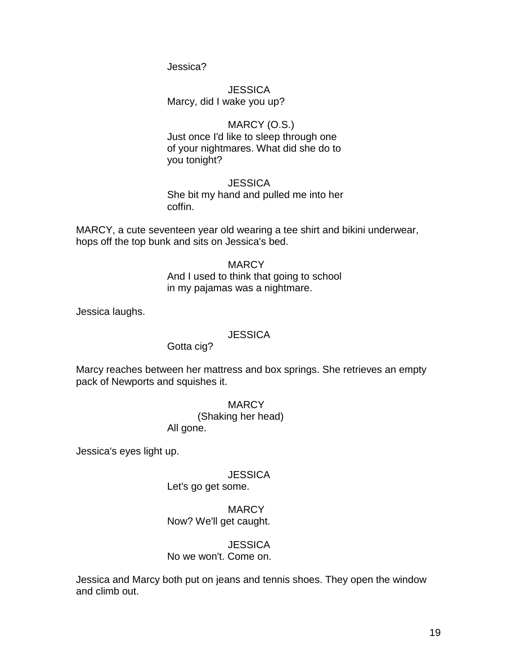Jessica?

### **JESSICA** Marcy, did I wake you up?

### MARCY (O.S.)

Just once I'd like to sleep through one of your nightmares. What did she do to you tonight?

# **JESSICA** She bit my hand and pulled me into her coffin.

MARCY, a cute seventeen year old wearing a tee shirt and bikini underwear, hops off the top bunk and sits on Jessica's bed.

# **MARCY** And I used to think that going to school in my pajamas was a nightmare.

Jessica laughs.

### **JESSICA**

Gotta cig?

Marcy reaches between her mattress and box springs. She retrieves an empty pack of Newports and squishes it.

**MARCY** 

(Shaking her head) All gone.

Jessica's eyes light up.

# **JESSICA**

Let's go get some.

# **MARCY** Now? We'll get caught.

# JESSICA No we won't. Come on.

Jessica and Marcy both put on jeans and tennis shoes. They open the window and climb out.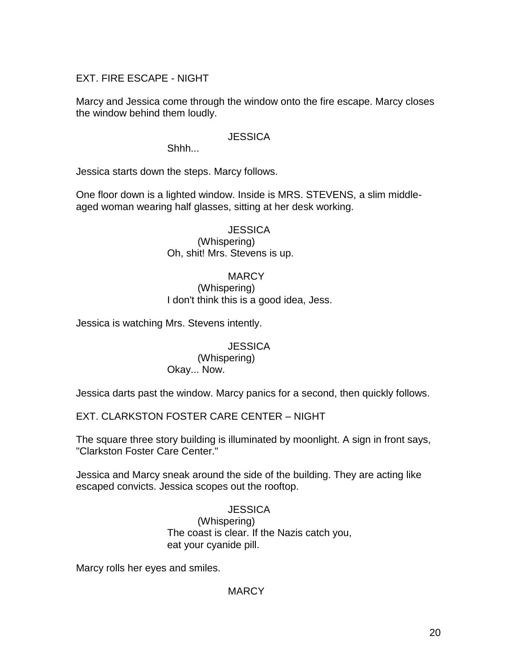# EXT. FIRE ESCAPE - NIGHT

Marcy and Jessica come through the window onto the fire escape. Marcy closes the window behind them loudly.

### **JESSICA**

Shhh...

Jessica starts down the steps. Marcy follows.

One floor down is a lighted window. Inside is MRS. STEVENS, a slim middleaged woman wearing half glasses, sitting at her desk working.

### JESSICA (Whispering) Oh, shit! Mrs. Stevens is up.

# **MARCY**

### (Whispering) I don't think this is a good idea, Jess.

Jessica is watching Mrs. Stevens intently.

# JESSICA

# (Whispering) Okay... Now.

Jessica darts past the window. Marcy panics for a second, then quickly follows.

EXT. CLARKSTON FOSTER CARE CENTER – NIGHT

The square three story building is illuminated by moonlight. A sign in front says, "Clarkston Foster Care Center."

Jessica and Marcy sneak around the side of the building. They are acting like escaped convicts. Jessica scopes out the rooftop.

### **JESSICA** (Whispering) The coast is clear. If the Nazis catch you, eat your cyanide pill.

Marcy rolls her eyes and smiles.

# **MARCY**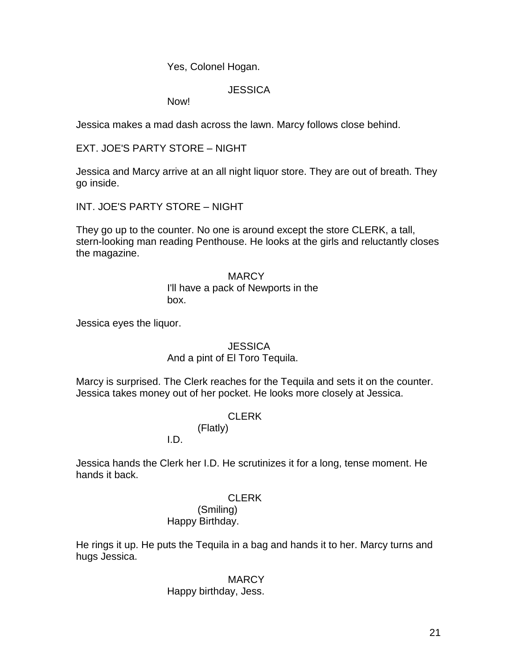Yes, Colonel Hogan.

### **JESSICA**

Now!

Jessica makes a mad dash across the lawn. Marcy follows close behind.

EXT. JOE'S PARTY STORE – NIGHT

Jessica and Marcy arrive at an all night liquor store. They are out of breath. They go inside.

INT. JOE'S PARTY STORE – NIGHT

They go up to the counter. No one is around except the store CLERK, a tall, stern-looking man reading Penthouse. He looks at the girls and reluctantly closes the magazine.

> **MARCY** I'll have a pack of Newports in the box.

Jessica eyes the liquor.

JESSICA

And a pint of El Toro Tequila.

Marcy is surprised. The Clerk reaches for the Tequila and sets it on the counter. Jessica takes money out of her pocket. He looks more closely at Jessica.

CLERK

(Flatly)

I.D.

Jessica hands the Clerk her I.D. He scrutinizes it for a long, tense moment. He hands it back.

### CLERK

(Smiling)

Happy Birthday.

He rings it up. He puts the Tequila in a bag and hands it to her. Marcy turns and hugs Jessica.

# **MARCY** Happy birthday, Jess.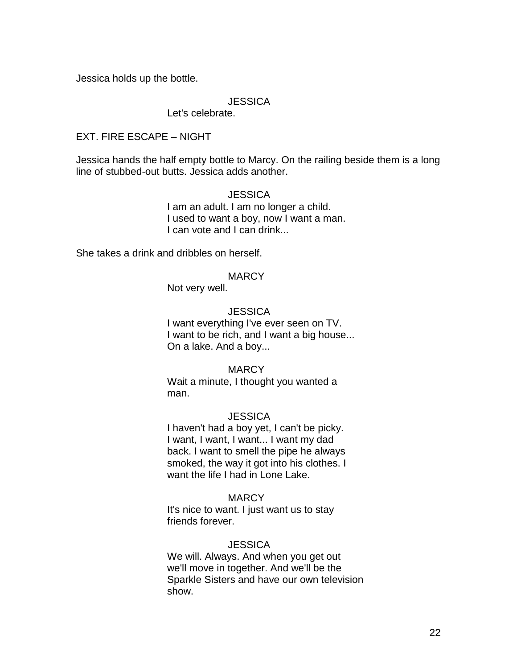Jessica holds up the bottle.

### **JESSICA**

### Let's celebrate.

# EXT. FIRE ESCAPE – NIGHT

Jessica hands the half empty bottle to Marcy. On the railing beside them is a long line of stubbed-out butts. Jessica adds another.

#### **JESSICA**

I am an adult. I am no longer a child. I used to want a boy, now I want a man. I can vote and I can drink...

She takes a drink and dribbles on herself.

#### **MARCY**

Not very well.

### **JESSICA**

I want everything I've ever seen on TV. I want to be rich, and I want a big house... On a lake. And a boy...

### **MARCY**

Wait a minute, I thought you wanted a man.

#### **JESSICA**

I haven't had a boy yet, I can't be picky. I want, I want, I want... I want my dad back. I want to smell the pipe he always smoked, the way it got into his clothes. I want the life I had in Lone Lake.

### **MARCY**

It's nice to want. I just want us to stay friends forever.

#### **JESSICA**

We will. Always. And when you get out we'll move in together. And we'll be the Sparkle Sisters and have our own television show.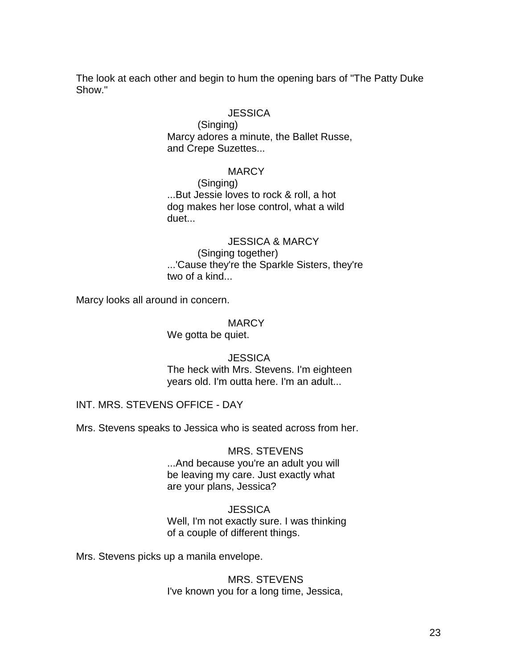The look at each other and begin to hum the opening bars of "The Patty Duke Show."

### **JESSICA**

(Singing) Marcy adores a minute, the Ballet Russe, and Crepe Suzettes...

### **MARCY**

(Singing) ...But Jessie loves to rock & roll, a hot dog makes her lose control, what a wild duet...

### JESSICA & MARCY (Singing together) ...'Cause they're the Sparkle Sisters, they're two of a kind...

Marcy looks all around in concern.

# **MARCY**

We gotta be quiet.

#### **JESSICA**

The heck with Mrs. Stevens. I'm eighteen years old. I'm outta here. I'm an adult...

INT. MRS. STEVENS OFFICE - DAY

Mrs. Stevens speaks to Jessica who is seated across from her.

# MRS. STEVENS

...And because you're an adult you will be leaving my care. Just exactly what are your plans, Jessica?

### **JESSICA**

Well, I'm not exactly sure. I was thinking of a couple of different things.

Mrs. Stevens picks up a manila envelope.

MRS. STEVENS I've known you for a long time, Jessica,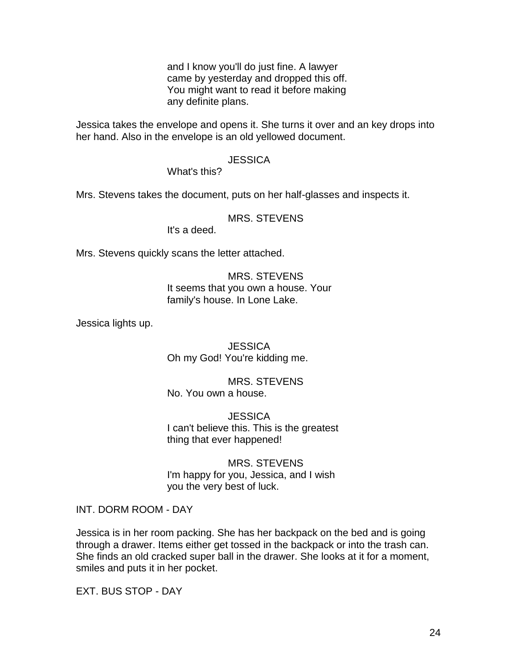and I know you'll do just fine. A lawyer came by yesterday and dropped this off. You might want to read it before making any definite plans.

Jessica takes the envelope and opens it. She turns it over and an key drops into her hand. Also in the envelope is an old yellowed document.

### **JESSICA**

What's this?

Mrs. Stevens takes the document, puts on her half-glasses and inspects it.

### MRS. STEVENS

It's a deed.

Mrs. Stevens quickly scans the letter attached.

MRS. STEVENS It seems that you own a house. Your family's house. In Lone Lake.

Jessica lights up.

JESSICA Oh my God! You're kidding me.

MRS. STEVENS No. You own a house.

**JESSICA** I can't believe this. This is the greatest thing that ever happened!

MRS. STEVENS I'm happy for you, Jessica, and I wish you the very best of luck.

INT. DORM ROOM - DAY

Jessica is in her room packing. She has her backpack on the bed and is going through a drawer. Items either get tossed in the backpack or into the trash can. She finds an old cracked super ball in the drawer. She looks at it for a moment, smiles and puts it in her pocket.

EXT. BUS STOP - DAY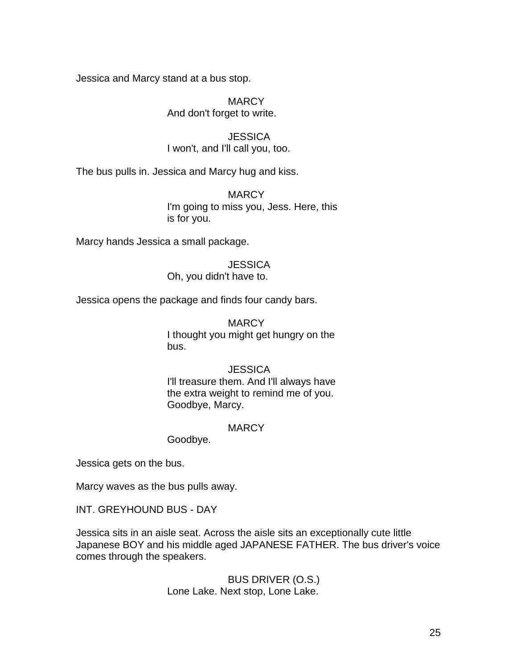Jessica and Marcy stand at a bus stop.

**MARCY** And don't forget to write.

**JESSICA** I won't, and I'll call you, too.

The bus pulls in. Jessica and Marcy hug and kiss.

**MARCY** I'm going to miss you, Jess. Here, this is for you.

Marcy hands Jessica a small package.

**JESSICA** Oh, you didn't have to.

Jessica opens the package and finds four candy bars.

**MARCY** I thought you might get hungry on the bus.

**JESSICA** I'll treasure them. And I'll always have the extra weight to remind me of you. Goodbye, Marcy.

#### **MARCY**

Goodbye.

Jessica gets on the bus.

Marcy waves as the bus pulls away.

INT. GREYHOUND BUS - DAY

Jessica sits in an aisle seat. Across the aisle sits an exceptionally cute little Japanese BOY and his middle aged JAPANESE FATHER. The bus driver's voice comes through the speakers.

> BUS DRIVER (O.S.) Lone Lake. Next stop, Lone Lake.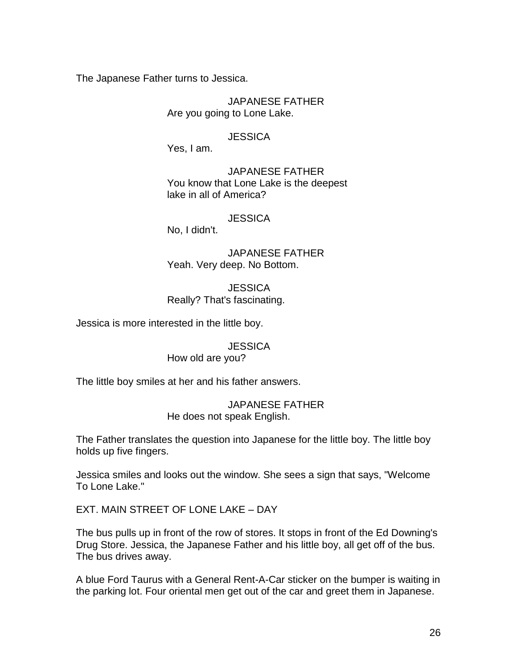The Japanese Father turns to Jessica.

JAPANESE FATHER Are you going to Lone Lake.

### **JESSICA**

Yes, I am.

JAPANESE FATHER You know that Lone Lake is the deepest lake in all of America?

### **JESSICA**

No, I didn't.

JAPANESE FATHER Yeah. Very deep. No Bottom.

JESSICA Really? That's fascinating.

Jessica is more interested in the little boy.

### JESSICA

# How old are you?

The little boy smiles at her and his father answers.

### JAPANESE FATHER He does not speak English.

The Father translates the question into Japanese for the little boy. The little boy holds up five fingers.

Jessica smiles and looks out the window. She sees a sign that says, "Welcome To Lone Lake."

EXT. MAIN STREET OF LONE LAKE – DAY

The bus pulls up in front of the row of stores. It stops in front of the Ed Downing's Drug Store. Jessica, the Japanese Father and his little boy, all get off of the bus. The bus drives away.

A blue Ford Taurus with a General Rent-A-Car sticker on the bumper is waiting in the parking lot. Four oriental men get out of the car and greet them in Japanese.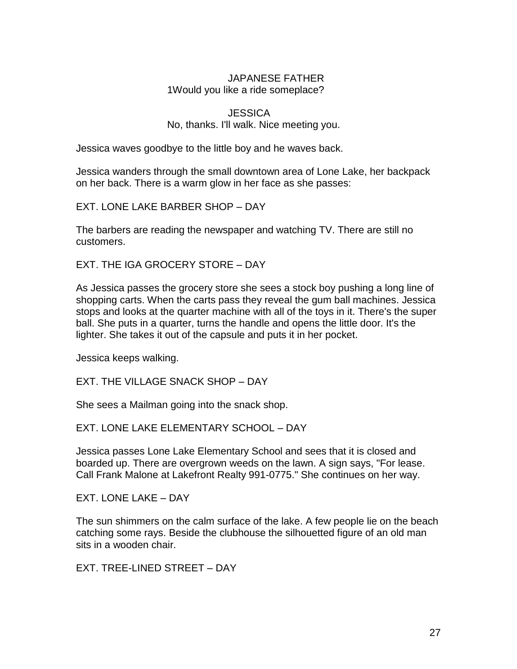# JAPANESE FATHER 1Would you like a ride someplace?

# JESSICA No, thanks. I'll walk. Nice meeting you.

Jessica waves goodbye to the little boy and he waves back.

Jessica wanders through the small downtown area of Lone Lake, her backpack on her back. There is a warm glow in her face as she passes:

EXT. LONE LAKE BARBER SHOP – DAY

The barbers are reading the newspaper and watching TV. There are still no customers.

EXT. THE IGA GROCERY STORE – DAY

As Jessica passes the grocery store she sees a stock boy pushing a long line of shopping carts. When the carts pass they reveal the gum ball machines. Jessica stops and looks at the quarter machine with all of the toys in it. There's the super ball. She puts in a quarter, turns the handle and opens the little door. It's the lighter. She takes it out of the capsule and puts it in her pocket.

Jessica keeps walking.

EXT. THE VILLAGE SNACK SHOP – DAY

She sees a Mailman going into the snack shop.

EXT. LONE LAKE ELEMENTARY SCHOOL – DAY

Jessica passes Lone Lake Elementary School and sees that it is closed and boarded up. There are overgrown weeds on the lawn. A sign says, "For lease. Call Frank Malone at Lakefront Realty 991-0775." She continues on her way.

EXT. LONE LAKE – DAY

The sun shimmers on the calm surface of the lake. A few people lie on the beach catching some rays. Beside the clubhouse the silhouetted figure of an old man sits in a wooden chair.

EXT. TREE-LINED STREET – DAY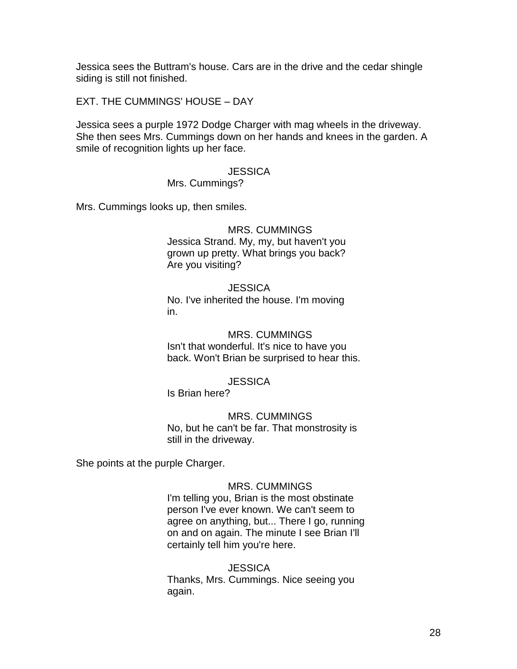Jessica sees the Buttram's house. Cars are in the drive and the cedar shingle siding is still not finished.

EXT. THE CUMMINGS' HOUSE – DAY

Jessica sees a purple 1972 Dodge Charger with mag wheels in the driveway. She then sees Mrs. Cummings down on her hands and knees in the garden. A smile of recognition lights up her face.

#### **JESSICA**

Mrs. Cummings?

Mrs. Cummings looks up, then smiles.

#### MRS. CUMMINGS

Jessica Strand. My, my, but haven't you grown up pretty. What brings you back? Are you visiting?

JESSICA No. I've inherited the house. I'm moving in.

MRS. CUMMINGS Isn't that wonderful. It's nice to have you back. Won't Brian be surprised to hear this.

### **JESSICA**

Is Brian here?

#### MRS. CUMMINGS

No, but he can't be far. That monstrosity is still in the driveway.

She points at the purple Charger.

#### MRS. CUMMINGS

I'm telling you, Brian is the most obstinate person I've ever known. We can't seem to agree on anything, but... There I go, running on and on again. The minute I see Brian I'll certainly tell him you're here.

#### **JESSICA**

Thanks, Mrs. Cummings. Nice seeing you again.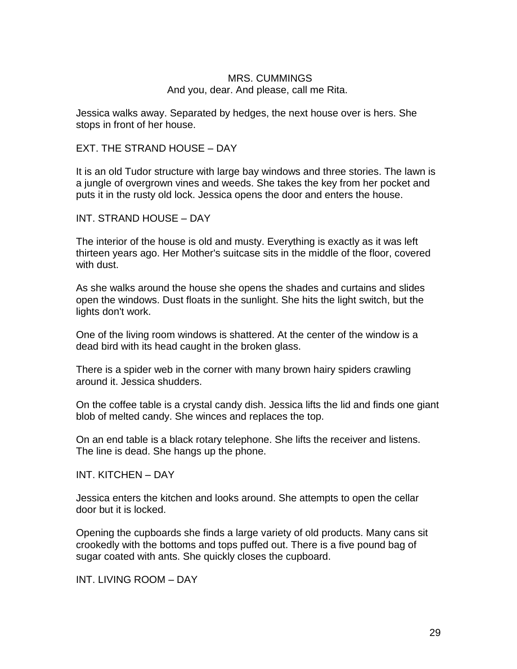### MRS. CUMMINGS And you, dear. And please, call me Rita.

Jessica walks away. Separated by hedges, the next house over is hers. She stops in front of her house.

### EXT. THE STRAND HOUSE – DAY

It is an old Tudor structure with large bay windows and three stories. The lawn is a jungle of overgrown vines and weeds. She takes the key from her pocket and puts it in the rusty old lock. Jessica opens the door and enters the house.

INT. STRAND HOUSE – DAY

The interior of the house is old and musty. Everything is exactly as it was left thirteen years ago. Her Mother's suitcase sits in the middle of the floor, covered with dust.

As she walks around the house she opens the shades and curtains and slides open the windows. Dust floats in the sunlight. She hits the light switch, but the lights don't work.

One of the living room windows is shattered. At the center of the window is a dead bird with its head caught in the broken glass.

There is a spider web in the corner with many brown hairy spiders crawling around it. Jessica shudders.

On the coffee table is a crystal candy dish. Jessica lifts the lid and finds one giant blob of melted candy. She winces and replaces the top.

On an end table is a black rotary telephone. She lifts the receiver and listens. The line is dead. She hangs up the phone.

INT. KITCHEN – DAY

Jessica enters the kitchen and looks around. She attempts to open the cellar door but it is locked.

Opening the cupboards she finds a large variety of old products. Many cans sit crookedly with the bottoms and tops puffed out. There is a five pound bag of sugar coated with ants. She quickly closes the cupboard.

INT. LIVING ROOM – DAY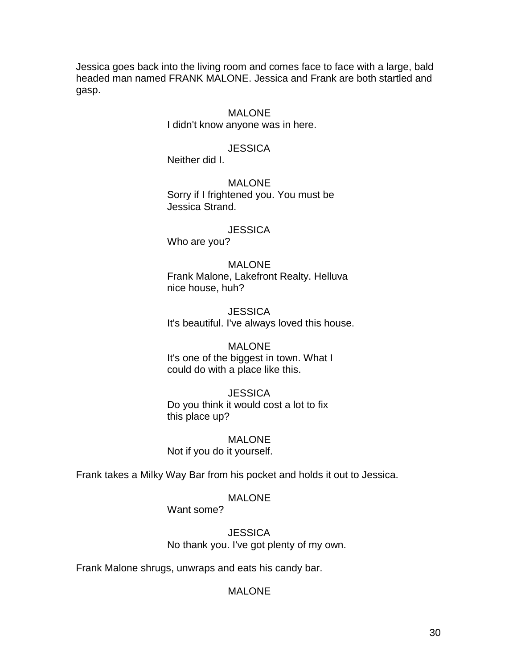Jessica goes back into the living room and comes face to face with a large, bald headed man named FRANK MALONE. Jessica and Frank are both startled and gasp.

### MALONE I didn't know anyone was in here.

#### **JESSICA**

Neither did I.

MALONE Sorry if I frightened you. You must be Jessica Strand.

#### **JESSICA**

Who are you?

#### MALONE

Frank Malone, Lakefront Realty. Helluva nice house, huh?

**JESSICA** It's beautiful. I've always loved this house.

### MAI ONF

It's one of the biggest in town. What I could do with a place like this.

**JESSICA** Do you think it would cost a lot to fix this place up?

MALONE Not if you do it yourself.

Frank takes a Milky Way Bar from his pocket and holds it out to Jessica.

#### MALONE

Want some?

**JESSICA** No thank you. I've got plenty of my own.

Frank Malone shrugs, unwraps and eats his candy bar.

# MALONE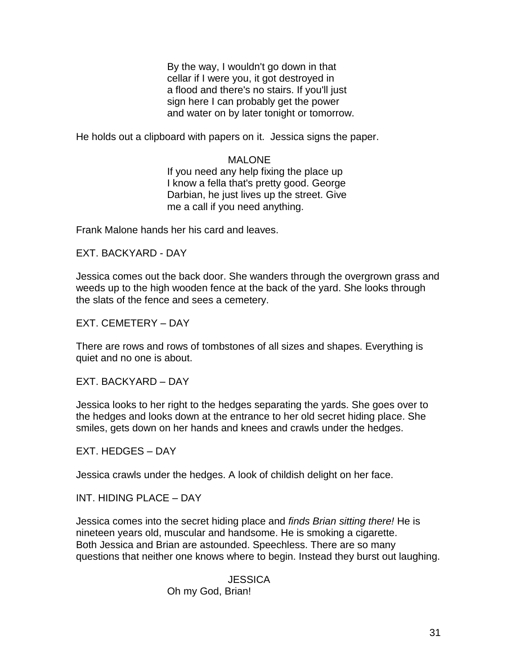By the way, I wouldn't go down in that cellar if I were you, it got destroyed in a flood and there's no stairs. If you'll just sign here I can probably get the power and water on by later tonight or tomorrow.

He holds out a clipboard with papers on it. Jessica signs the paper.

#### MALONE

If you need any help fixing the place up I know a fella that's pretty good. George Darbian, he just lives up the street. Give me a call if you need anything.

Frank Malone hands her his card and leaves.

EXT. BACKYARD - DAY

Jessica comes out the back door. She wanders through the overgrown grass and weeds up to the high wooden fence at the back of the yard. She looks through the slats of the fence and sees a cemetery.

EXT. CEMETERY – DAY

There are rows and rows of tombstones of all sizes and shapes. Everything is quiet and no one is about.

EXT. BACKYARD – DAY

Jessica looks to her right to the hedges separating the yards. She goes over to the hedges and looks down at the entrance to her old secret hiding place. She smiles, gets down on her hands and knees and crawls under the hedges.

EXT. HEDGES – DAY

Jessica crawls under the hedges. A look of childish delight on her face.

INT. HIDING PLACE – DAY

Jessica comes into the secret hiding place and *finds Brian sitting there!* He is nineteen years old, muscular and handsome. He is smoking a cigarette. Both Jessica and Brian are astounded. Speechless. There are so many questions that neither one knows where to begin. Instead they burst out laughing.

> **JESSICA** Oh my God, Brian!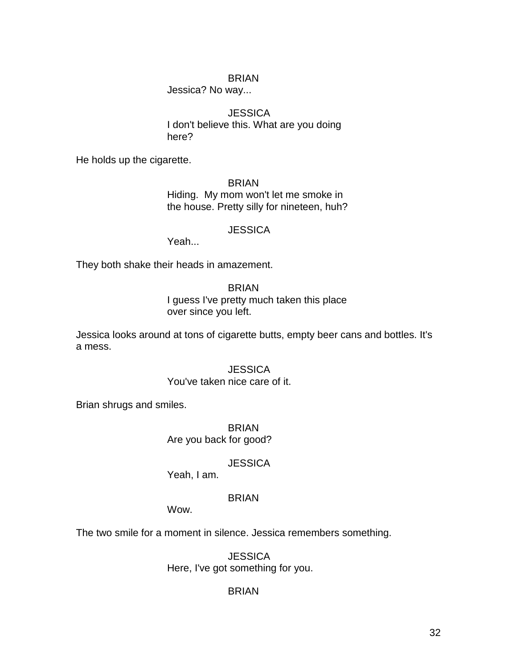#### BRIAN

Jessica? No way...

JESSICA I don't believe this. What are you doing here?

He holds up the cigarette.

BRIAN Hiding. My mom won't let me smoke in the house. Pretty silly for nineteen, huh?

#### JESSICA

Yeah...

They both shake their heads in amazement.

### **BRIAN**

I guess I've pretty much taken this place over since you left.

Jessica looks around at tons of cigarette butts, empty beer cans and bottles. It's a mess.

### **JESSICA**

# You've taken nice care of it.

Brian shrugs and smiles.

BRIAN

# Are you back for good?

### **JESSICA**

Yeah, I am.

### BRIAN

Wow.

The two smile for a moment in silence. Jessica remembers something.

**JESSICA** Here, I've got something for you.

### BRIAN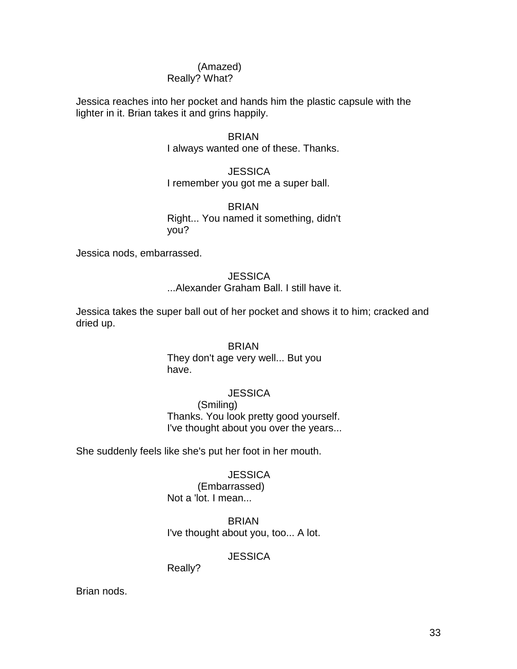#### (Amazed) Really? What?

Jessica reaches into her pocket and hands him the plastic capsule with the lighter in it. Brian takes it and grins happily.

#### BRIAN

I always wanted one of these. Thanks.

# **JESSICA**

I remember you got me a super ball.

BRIAN Right... You named it something, didn't you?

Jessica nods, embarrassed.

### **JESSICA**

...Alexander Graham Ball. I still have it.

Jessica takes the super ball out of her pocket and shows it to him; cracked and dried up.

### **BRIAN**

They don't age very well... But you have.

# **JESSICA**

(Smiling) Thanks. You look pretty good yourself. I've thought about you over the years...

She suddenly feels like she's put her foot in her mouth.

### **JESSICA**

(Embarrassed) Not a 'lot. I mean...

BRIAN I've thought about you, too... A lot.

# **JESSICA**

Really?

Brian nods.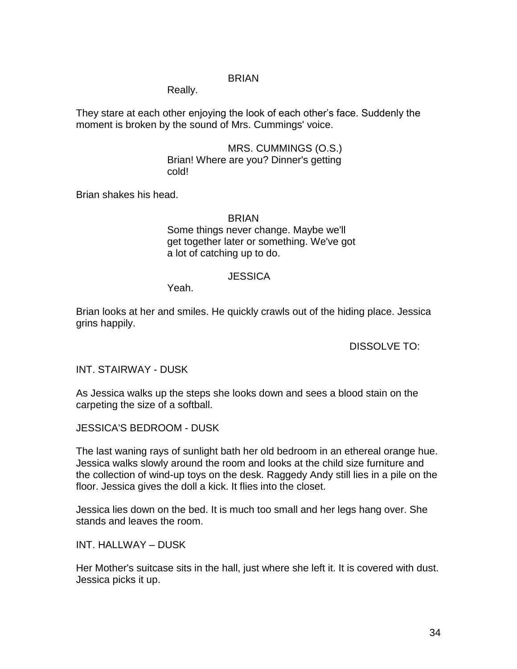### BRIAN

Really.

They stare at each other enjoying the look of each other's face. Suddenly the moment is broken by the sound of Mrs. Cummings' voice.

> MRS. CUMMINGS (O.S.) Brian! Where are you? Dinner's getting cold!

Brian shakes his head.

BRIAN

Some things never change. Maybe we'll get together later or something. We've got a lot of catching up to do.

### **JESSICA**

Yeah.

Brian looks at her and smiles. He quickly crawls out of the hiding place. Jessica grins happily.

DISSOLVE TO:

INT. STAIRWAY - DUSK

As Jessica walks up the steps she looks down and sees a blood stain on the carpeting the size of a softball.

JESSICA'S BEDROOM - DUSK

The last waning rays of sunlight bath her old bedroom in an ethereal orange hue. Jessica walks slowly around the room and looks at the child size furniture and the collection of wind-up toys on the desk. Raggedy Andy still lies in a pile on the floor. Jessica gives the doll a kick. It flies into the closet.

Jessica lies down on the bed. It is much too small and her legs hang over. She stands and leaves the room.

INT. HALLWAY – DUSK

Her Mother's suitcase sits in the hall, just where she left it. It is covered with dust. Jessica picks it up.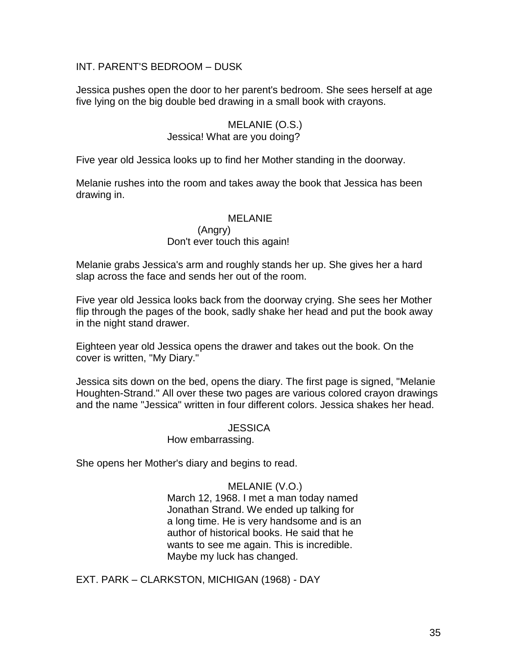# INT. PARENT'S BEDROOM – DUSK

Jessica pushes open the door to her parent's bedroom. She sees herself at age five lying on the big double bed drawing in a small book with crayons.

# MELANIE (O.S.)

### Jessica! What are you doing?

Five year old Jessica looks up to find her Mother standing in the doorway.

Melanie rushes into the room and takes away the book that Jessica has been drawing in.

### MELANIE

#### (Angry) Don't ever touch this again!

Melanie grabs Jessica's arm and roughly stands her up. She gives her a hard slap across the face and sends her out of the room.

Five year old Jessica looks back from the doorway crying. She sees her Mother flip through the pages of the book, sadly shake her head and put the book away in the night stand drawer.

Eighteen year old Jessica opens the drawer and takes out the book. On the cover is written, "My Diary."

Jessica sits down on the bed, opens the diary. The first page is signed, "Melanie Houghten-Strand." All over these two pages are various colored crayon drawings and the name "Jessica" written in four different colors. Jessica shakes her head.

### **JESSICA**

### How embarrassing.

She opens her Mother's diary and begins to read.

# MELANIE (V.O.)

March 12, 1968. I met a man today named Jonathan Strand. We ended up talking for a long time. He is very handsome and is an author of historical books. He said that he wants to see me again. This is incredible. Maybe my luck has changed.

EXT. PARK – CLARKSTON, MICHIGAN (1968) - DAY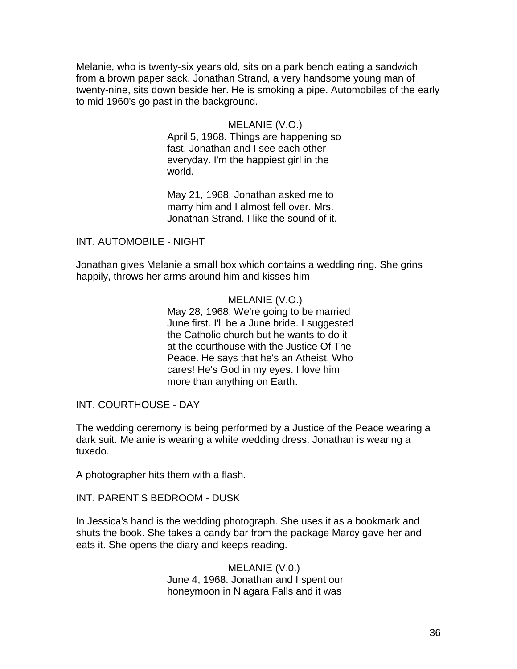Melanie, who is twenty-six years old, sits on a park bench eating a sandwich from a brown paper sack. Jonathan Strand, a very handsome young man of twenty-nine, sits down beside her. He is smoking a pipe. Automobiles of the early to mid 1960's go past in the background.

# MELANIE (V.O.)

April 5, 1968. Things are happening so fast. Jonathan and I see each other everyday. I'm the happiest girl in the world.

May 21, 1968. Jonathan asked me to marry him and I almost fell over. Mrs. Jonathan Strand. I like the sound of it.

INT. AUTOMOBILE - NIGHT

Jonathan gives Melanie a small box which contains a wedding ring. She grins happily, throws her arms around him and kisses him

> MELANIE (V.O.) May 28, 1968. We're going to be married June first. I'll be a June bride. I suggested the Catholic church but he wants to do it at the courthouse with the Justice Of The Peace. He says that he's an Atheist. Who cares! He's God in my eyes. I love him more than anything on Earth.

INT. COURTHOUSE - DAY

The wedding ceremony is being performed by a Justice of the Peace wearing a dark suit. Melanie is wearing a white wedding dress. Jonathan is wearing a tuxedo.

A photographer hits them with a flash.

INT. PARENT'S BEDROOM - DUSK

In Jessica's hand is the wedding photograph. She uses it as a bookmark and shuts the book. She takes a candy bar from the package Marcy gave her and eats it. She opens the diary and keeps reading.

> MELANIE (V.0.) June 4, 1968. Jonathan and I spent our honeymoon in Niagara Falls and it was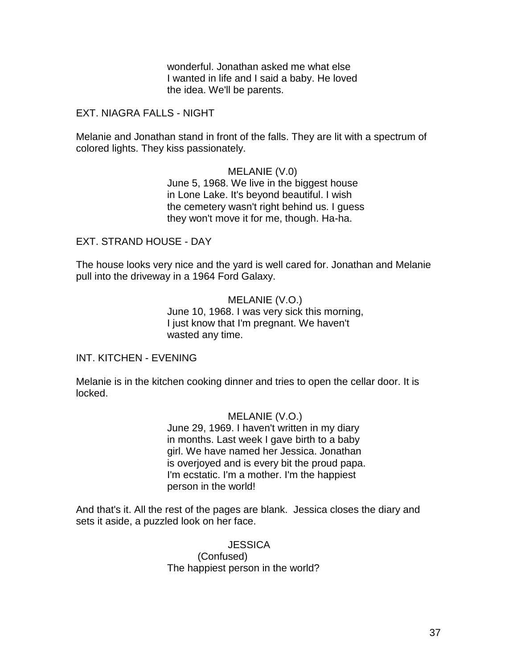wonderful. Jonathan asked me what else I wanted in life and I said a baby. He loved the idea. We'll be parents.

# EXT. NIAGRA FALLS - NIGHT

Melanie and Jonathan stand in front of the falls. They are lit with a spectrum of colored lights. They kiss passionately.

### MELANIE (V.0)

June 5, 1968. We live in the biggest house in Lone Lake. It's beyond beautiful. I wish the cemetery wasn't right behind us. I guess they won't move it for me, though. Ha-ha.

### EXT. STRAND HOUSE - DAY

The house looks very nice and the yard is well cared for. Jonathan and Melanie pull into the driveway in a 1964 Ford Galaxy.

### MELANIE (V.O.) June 10, 1968. I was very sick this morning, I just know that I'm pregnant. We haven't wasted any time.

# INT. KITCHEN - EVENING

Melanie is in the kitchen cooking dinner and tries to open the cellar door. It is locked.

### MELANIE (V.O.)

June 29, 1969. I haven't written in my diary in months. Last week I gave birth to a baby girl. We have named her Jessica. Jonathan is overjoyed and is every bit the proud papa. I'm ecstatic. I'm a mother. I'm the happiest person in the world!

And that's it. All the rest of the pages are blank. Jessica closes the diary and sets it aside, a puzzled look on her face.

# **JESSICA**

(Confused) The happiest person in the world?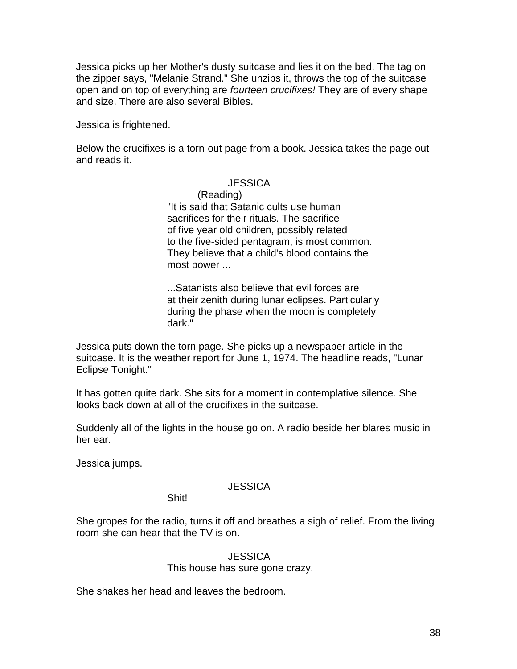Jessica picks up her Mother's dusty suitcase and lies it on the bed. The tag on the zipper says, "Melanie Strand." She unzips it, throws the top of the suitcase open and on top of everything are *fourteen crucifixes!* They are of every shape and size. There are also several Bibles.

Jessica is frightened.

Below the crucifixes is a torn-out page from a book. Jessica takes the page out and reads it.

### **JESSICA**

(Reading) "It is said that Satanic cults use human sacrifices for their rituals. The sacrifice of five year old children, possibly related to the five-sided pentagram, is most common. They believe that a child's blood contains the most power ...

...Satanists also believe that evil forces are at their zenith during lunar eclipses. Particularly during the phase when the moon is completely dark."

Jessica puts down the torn page. She picks up a newspaper article in the suitcase. It is the weather report for June 1, 1974. The headline reads, "Lunar Eclipse Tonight."

It has gotten quite dark. She sits for a moment in contemplative silence. She looks back down at all of the crucifixes in the suitcase.

Suddenly all of the lights in the house go on. A radio beside her blares music in her ear.

Jessica jumps.

### JESSICA

Shit!

She gropes for the radio, turns it off and breathes a sigh of relief. From the living room she can hear that the TV is on.

### JESSICA

This house has sure gone crazy.

She shakes her head and leaves the bedroom.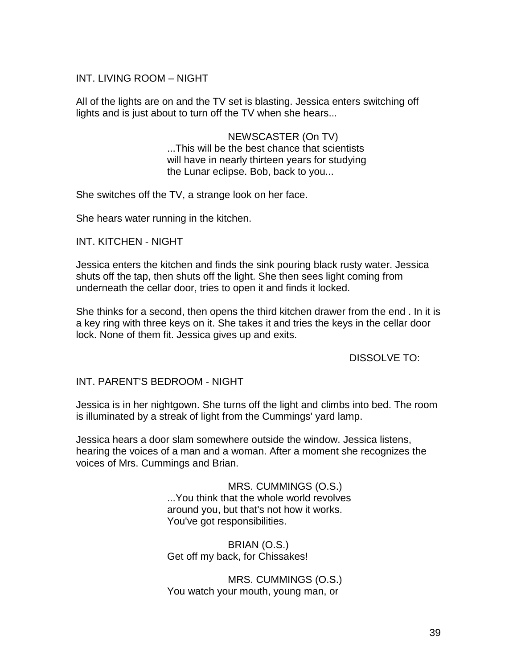# INT. LIVING ROOM – NIGHT

All of the lights are on and the TV set is blasting. Jessica enters switching off lights and is just about to turn off the TV when she hears...

### NEWSCASTER (On TV) ...This will be the best chance that scientists will have in nearly thirteen years for studying the Lunar eclipse. Bob, back to you...

She switches off the TV, a strange look on her face.

She hears water running in the kitchen.

INT. KITCHEN - NIGHT

Jessica enters the kitchen and finds the sink pouring black rusty water. Jessica shuts off the tap, then shuts off the light. She then sees light coming from underneath the cellar door, tries to open it and finds it locked.

She thinks for a second, then opens the third kitchen drawer from the end . In it is a key ring with three keys on it. She takes it and tries the keys in the cellar door lock. None of them fit. Jessica gives up and exits.

DISSOLVE TO:

INT. PARENT'S BEDROOM - NIGHT

Jessica is in her nightgown. She turns off the light and climbs into bed. The room is illuminated by a streak of light from the Cummings' yard lamp.

Jessica hears a door slam somewhere outside the window. Jessica listens, hearing the voices of a man and a woman. After a moment she recognizes the voices of Mrs. Cummings and Brian.

> MRS. CUMMINGS (O.S.) ...You think that the whole world revolves around you, but that's not how it works. You've got responsibilities.

BRIAN (O.S.) Get off my back, for Chissakes!

MRS. CUMMINGS (O.S.) You watch your mouth, young man, or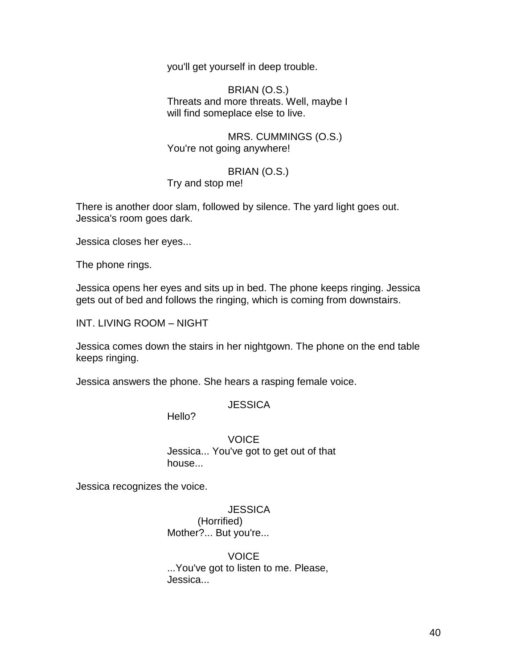you'll get yourself in deep trouble.

BRIAN (O.S.) Threats and more threats. Well, maybe I will find someplace else to live.

MRS. CUMMINGS (O.S.) You're not going anywhere!

# BRIAN (O.S.)

Try and stop me!

There is another door slam, followed by silence. The yard light goes out. Jessica's room goes dark.

Jessica closes her eyes...

The phone rings.

Jessica opens her eyes and sits up in bed. The phone keeps ringing. Jessica gets out of bed and follows the ringing, which is coming from downstairs.

INT. LIVING ROOM – NIGHT

Jessica comes down the stairs in her nightgown. The phone on the end table keeps ringing.

Jessica answers the phone. She hears a rasping female voice.

**JESSICA** 

Hello?

VOICE Jessica... You've got to get out of that house...

Jessica recognizes the voice.

# **JESSICA**

(Horrified) Mother?... But you're...

VOICE ...You've got to listen to me. Please, Jessica...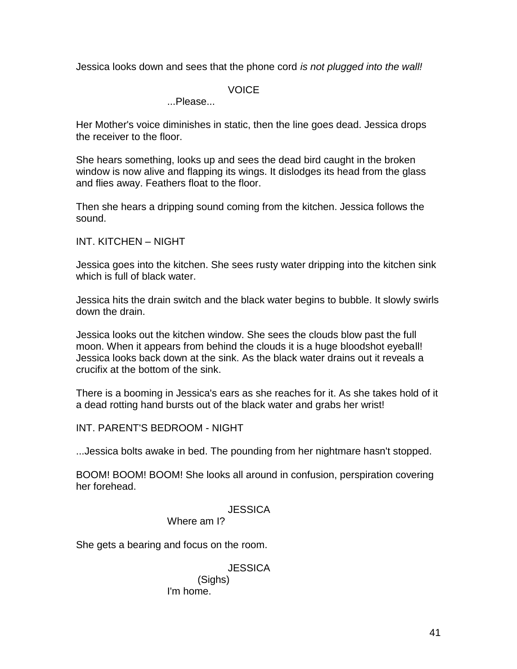Jessica looks down and sees that the phone cord *is not plugged into the wall!*

**VOICE** 

...Please...

Her Mother's voice diminishes in static, then the line goes dead. Jessica drops the receiver to the floor.

She hears something, looks up and sees the dead bird caught in the broken window is now alive and flapping its wings. It dislodges its head from the glass and flies away. Feathers float to the floor.

Then she hears a dripping sound coming from the kitchen. Jessica follows the sound.

INT. KITCHEN – NIGHT

Jessica goes into the kitchen. She sees rusty water dripping into the kitchen sink which is full of black water.

Jessica hits the drain switch and the black water begins to bubble. It slowly swirls down the drain.

Jessica looks out the kitchen window. She sees the clouds blow past the full moon. When it appears from behind the clouds it is a huge bloodshot eyeball! Jessica looks back down at the sink. As the black water drains out it reveals a crucifix at the bottom of the sink.

There is a booming in Jessica's ears as she reaches for it. As she takes hold of it a dead rotting hand bursts out of the black water and grabs her wrist!

INT. PARENT'S BEDROOM - NIGHT

...Jessica bolts awake in bed. The pounding from her nightmare hasn't stopped.

BOOM! BOOM! BOOM! She looks all around in confusion, perspiration covering her forehead.

# **JESSICA**

Where am I?

She gets a bearing and focus on the room.

# **JESSICA**

(Sighs) I'm home.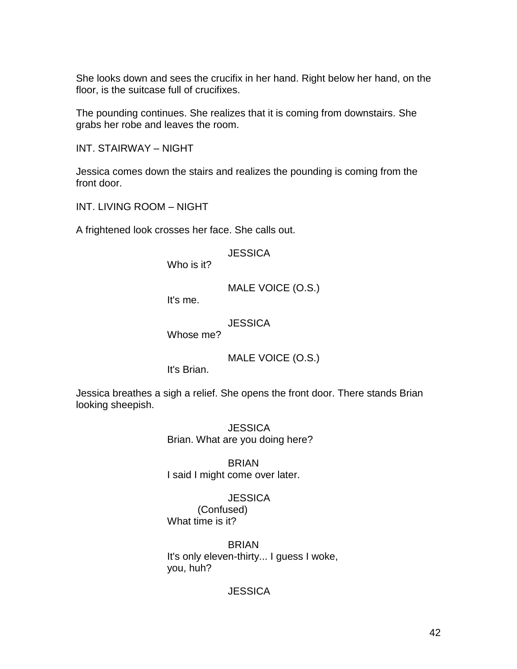She looks down and sees the crucifix in her hand. Right below her hand, on the floor, is the suitcase full of crucifixes.

The pounding continues. She realizes that it is coming from downstairs. She grabs her robe and leaves the room.

INT. STAIRWAY – NIGHT

Jessica comes down the stairs and realizes the pounding is coming from the front door.

INT. LIVING ROOM – NIGHT

A frightened look crosses her face. She calls out.

### **JESSICA**

Who is it?

MALE VOICE (O.S.)

It's me.

**JESSICA** 

Whose me?

MALE VOICE (O.S.)

It's Brian.

Jessica breathes a sigh a relief. She opens the front door. There stands Brian looking sheepish.

> **JESSICA** Brian. What are you doing here?

**BRIAN** I said I might come over later.

### **JESSICA**

(Confused) What time is it?

**BRIAN** It's only eleven-thirty... I guess I woke, you, huh?

# **JESSICA**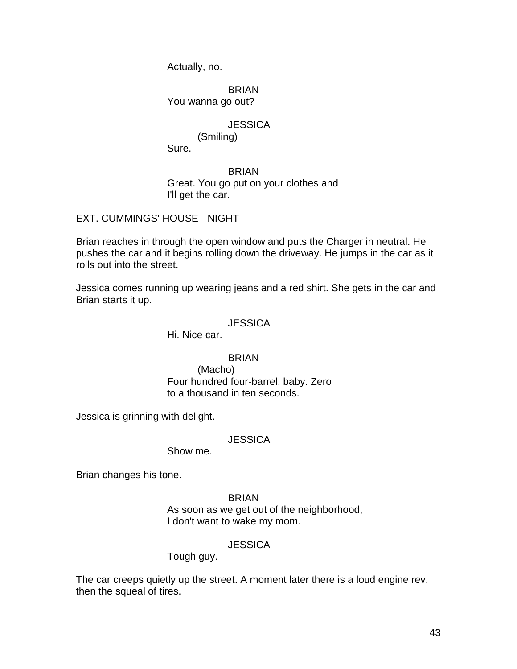Actually, no.

BRIAN You wanna go out?

# **JESSICA**

(Smiling)

Sure.

# **BRIAN**

Great. You go put on your clothes and I'll get the car.

EXT. CUMMINGS' HOUSE - NIGHT

Brian reaches in through the open window and puts the Charger in neutral. He pushes the car and it begins rolling down the driveway. He jumps in the car as it rolls out into the street.

Jessica comes running up wearing jeans and a red shirt. She gets in the car and Brian starts it up.

### **JESSICA**

Hi. Nice car.

### BRIAN

(Macho) Four hundred four-barrel, baby. Zero to a thousand in ten seconds.

Jessica is grinning with delight.

### **JESSICA**

Show me.

Brian changes his tone.

BRIAN

As soon as we get out of the neighborhood, I don't want to wake my mom.

# **JESSICA**

Tough guy.

The car creeps quietly up the street. A moment later there is a loud engine rev, then the squeal of tires.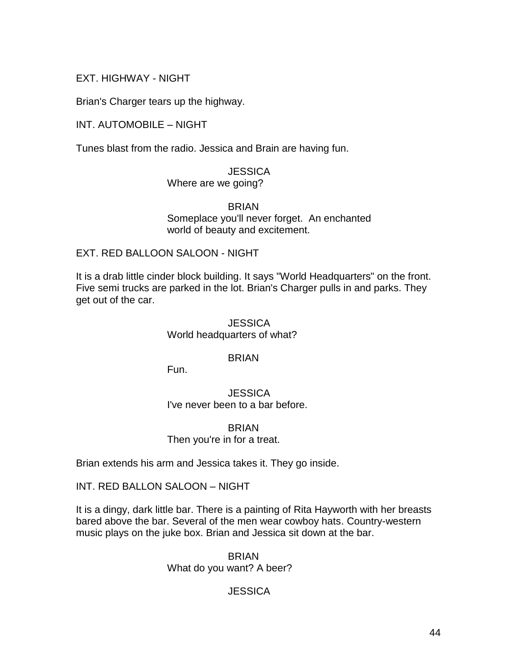# EXT. HIGHWAY - NIGHT

Brian's Charger tears up the highway.

INT. AUTOMOBILE – NIGHT

Tunes blast from the radio. Jessica and Brain are having fun.

# **JESSICA**

### Where are we going?

### BRIAN Someplace you'll never forget. An enchanted world of beauty and excitement.

### EXT. RED BALLOON SALOON - NIGHT

It is a drab little cinder block building. It says "World Headquarters" on the front. Five semi trucks are parked in the lot. Brian's Charger pulls in and parks. They get out of the car.

### **JESSICA** World headquarters of what?

### BRIAN

Fun.

**JESSICA** I've never been to a bar before.

# BRIAN

# Then you're in for a treat.

Brian extends his arm and Jessica takes it. They go inside.

INT. RED BALLON SALOON – NIGHT

It is a dingy, dark little bar. There is a painting of Rita Hayworth with her breasts bared above the bar. Several of the men wear cowboy hats. Country-western music plays on the juke box. Brian and Jessica sit down at the bar.

> BRIAN What do you want? A beer?

# **JESSICA**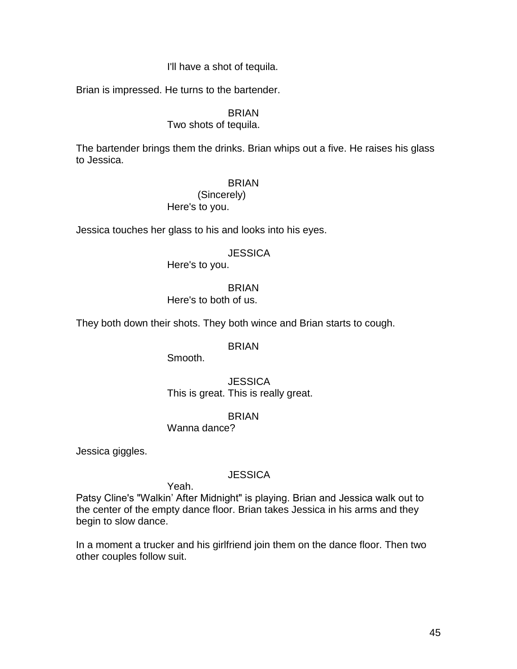I'll have a shot of tequila.

Brian is impressed. He turns to the bartender.

**BRIAN** 

### Two shots of tequila.

The bartender brings them the drinks. Brian whips out a five. He raises his glass to Jessica.

### BRIAN

(Sincerely)

Here's to you.

Jessica touches her glass to his and looks into his eyes.

### **JESSICA**

Here's to you.

#### **BRIAN**

Here's to both of us.

They both down their shots. They both wince and Brian starts to cough.

### **BRIAN**

Smooth.

**JESSICA** This is great. This is really great.

#### BRIAN

Wanna dance?

Jessica giggles.

### **JESSICA**

### Yeah.

Patsy Cline's "Walkin' After Midnight" is playing. Brian and Jessica walk out to the center of the empty dance floor. Brian takes Jessica in his arms and they begin to slow dance.

In a moment a trucker and his girlfriend join them on the dance floor. Then two other couples follow suit.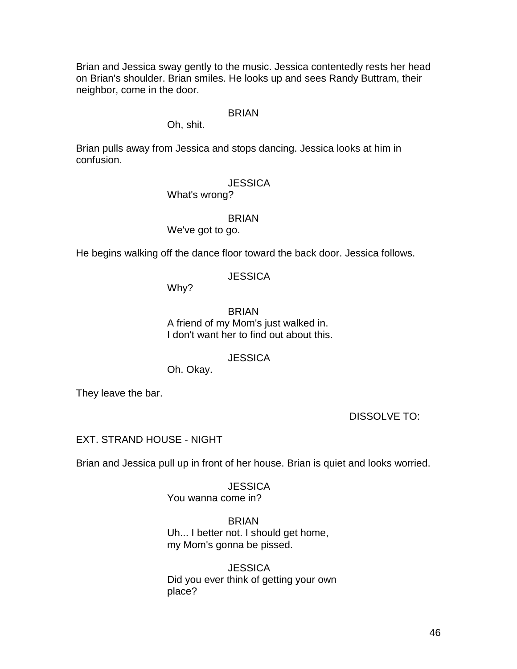Brian and Jessica sway gently to the music. Jessica contentedly rests her head on Brian's shoulder. Brian smiles. He looks up and sees Randy Buttram, their neighbor, come in the door.

# BRIAN

Oh, shit.

Brian pulls away from Jessica and stops dancing. Jessica looks at him in confusion.

#### **JESSICA**

What's wrong?

#### BRIAN

We've got to go.

He begins walking off the dance floor toward the back door. Jessica follows.

#### **JESSICA**

Why?

BRIAN A friend of my Mom's just walked in. I don't want her to find out about this.

### **JESSICA**

Oh. Okay.

They leave the bar.

DISSOLVE TO:

EXT. STRAND HOUSE - NIGHT

Brian and Jessica pull up in front of her house. Brian is quiet and looks worried.

JESSICA

You wanna come in?

BRIAN Uh... I better not. I should get home, my Mom's gonna be pissed.

**JESSICA** Did you ever think of getting your own place?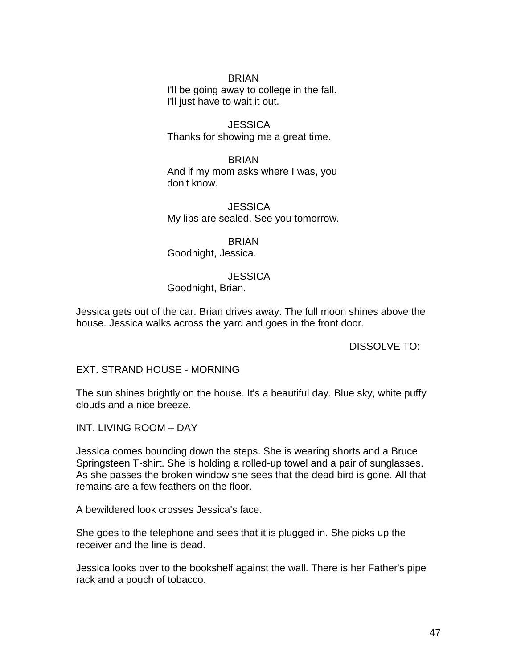### BRIAN

I'll be going away to college in the fall. I'll just have to wait it out.

**JESSICA** Thanks for showing me a great time.

BRIAN And if my mom asks where I was, you don't know.

**JESSICA** My lips are sealed. See you tomorrow.

BRIAN Goodnight, Jessica.

#### **JESSICA**

Goodnight, Brian.

Jessica gets out of the car. Brian drives away. The full moon shines above the house. Jessica walks across the yard and goes in the front door.

DISSOLVE TO:

EXT. STRAND HOUSE - MORNING

The sun shines brightly on the house. It's a beautiful day. Blue sky, white puffy clouds and a nice breeze.

INT. LIVING ROOM – DAY

Jessica comes bounding down the steps. She is wearing shorts and a Bruce Springsteen T-shirt. She is holding a rolled-up towel and a pair of sunglasses. As she passes the broken window she sees that the dead bird is gone. All that remains are a few feathers on the floor.

A bewildered look crosses Jessica's face.

She goes to the telephone and sees that it is plugged in. She picks up the receiver and the line is dead.

Jessica looks over to the bookshelf against the wall. There is her Father's pipe rack and a pouch of tobacco.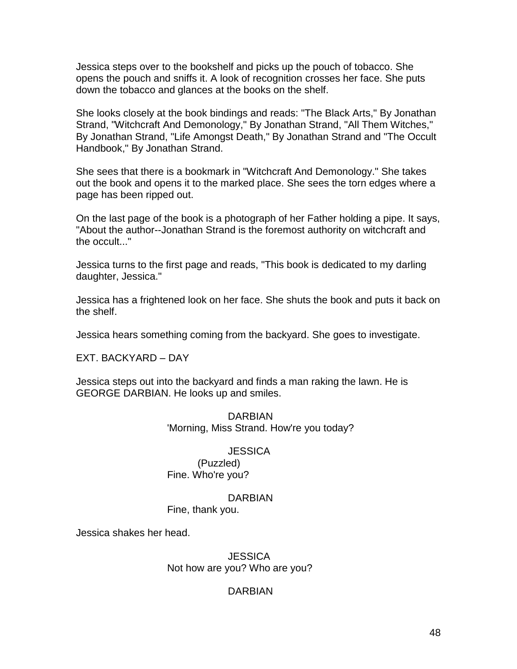Jessica steps over to the bookshelf and picks up the pouch of tobacco. She opens the pouch and sniffs it. A look of recognition crosses her face. She puts down the tobacco and glances at the books on the shelf.

She looks closely at the book bindings and reads: "The Black Arts," By Jonathan Strand, "Witchcraft And Demonology," By Jonathan Strand, "All Them Witches," By Jonathan Strand, "Life Amongst Death," By Jonathan Strand and "The Occult Handbook," By Jonathan Strand.

She sees that there is a bookmark in "Witchcraft And Demonology." She takes out the book and opens it to the marked place. She sees the torn edges where a page has been ripped out.

On the last page of the book is a photograph of her Father holding a pipe. It says, "About the author--Jonathan Strand is the foremost authority on witchcraft and the occult..."

Jessica turns to the first page and reads, "This book is dedicated to my darling daughter, Jessica."

Jessica has a frightened look on her face. She shuts the book and puts it back on the shelf.

Jessica hears something coming from the backyard. She goes to investigate.

EXT. BACKYARD – DAY

Jessica steps out into the backyard and finds a man raking the lawn. He is GEORGE DARBIAN. He looks up and smiles.

> DARBIAN 'Morning, Miss Strand. How're you today?

#### **JESSICA**

(Puzzled) Fine. Who're you?

### DARBIAN

Fine, thank you.

Jessica shakes her head.

JESSICA Not how are you? Who are you?

# DARBIAN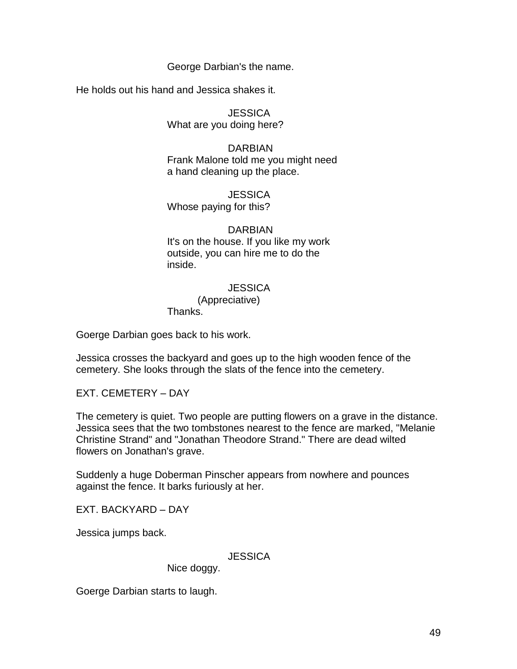### George Darbian's the name.

He holds out his hand and Jessica shakes it.

JESSICA What are you doing here?

DARBIAN Frank Malone told me you might need a hand cleaning up the place.

**JESSICA** Whose paying for this?

### DARBIAN

It's on the house. If you like my work outside, you can hire me to do the inside.

### JESSICA

# (Appreciative)

Thanks.

Goerge Darbian goes back to his work.

Jessica crosses the backyard and goes up to the high wooden fence of the cemetery. She looks through the slats of the fence into the cemetery.

EXT. CEMETERY – DAY

The cemetery is quiet. Two people are putting flowers on a grave in the distance. Jessica sees that the two tombstones nearest to the fence are marked, "Melanie Christine Strand" and "Jonathan Theodore Strand." There are dead wilted flowers on Jonathan's grave.

Suddenly a huge Doberman Pinscher appears from nowhere and pounces against the fence. It barks furiously at her.

EXT. BACKYARD – DAY

Jessica jumps back.

**JESSICA** 

Nice doggy.

Goerge Darbian starts to laugh.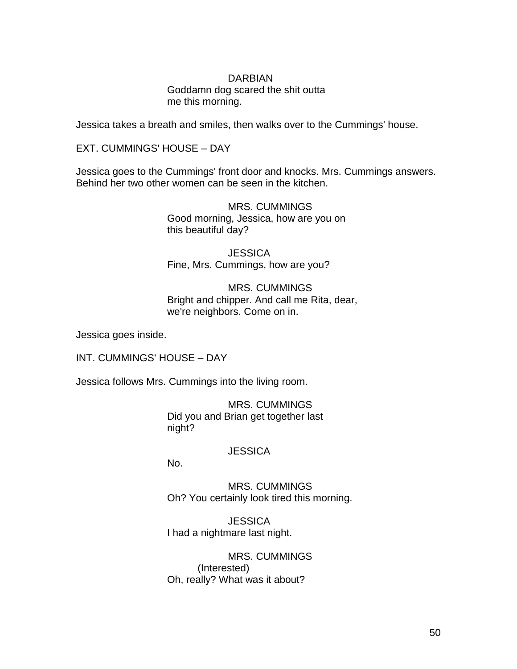### DARBIAN Goddamn dog scared the shit outta me this morning.

Jessica takes a breath and smiles, then walks over to the Cummings' house.

EXT. CUMMINGS' HOUSE – DAY

Jessica goes to the Cummings' front door and knocks. Mrs. Cummings answers. Behind her two other women can be seen in the kitchen.

> MRS. CUMMINGS Good morning, Jessica, how are you on this beautiful day?

**JESSICA** Fine, Mrs. Cummings, how are you?

MRS. CUMMINGS Bright and chipper. And call me Rita, dear, we're neighbors. Come on in.

Jessica goes inside.

INT. CUMMINGS' HOUSE – DAY

Jessica follows Mrs. Cummings into the living room.

MRS. CUMMINGS Did you and Brian get together last night?

**JESSICA** 

No.

MRS. CUMMINGS Oh? You certainly look tired this morning.

**JESSICA** I had a nightmare last night.

MRS. CUMMINGS (Interested) Oh, really? What was it about?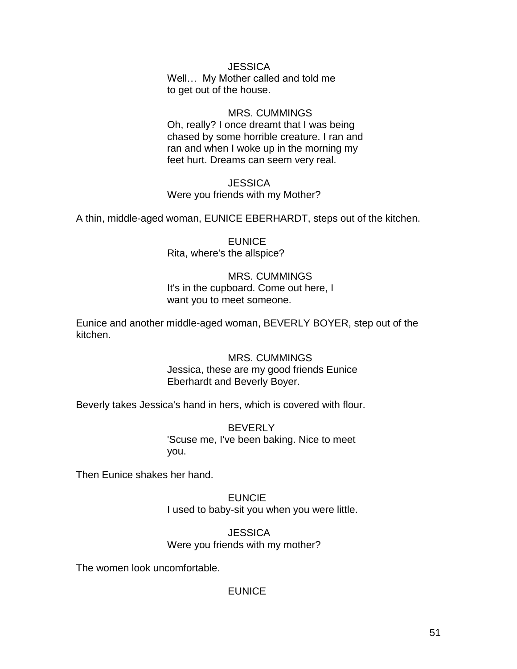JESSICA Well… My Mother called and told me to get out of the house.

# MRS. CUMMINGS Oh, really? I once dreamt that I was being chased by some horrible creature. I ran and ran and when I woke up in the morning my feet hurt. Dreams can seem very real.

### **JESSICA** Were you friends with my Mother?

A thin, middle-aged woman, EUNICE EBERHARDT, steps out of the kitchen.

**EUNICE** Rita, where's the allspice?

# MRS. CUMMINGS

It's in the cupboard. Come out here, I want you to meet someone.

Eunice and another middle-aged woman, BEVERLY BOYER, step out of the kitchen.

# MRS. CUMMINGS Jessica, these are my good friends Eunice Eberhardt and Beverly Boyer.

Beverly takes Jessica's hand in hers, which is covered with flour.

# **BEVERLY** 'Scuse me, I've been baking. Nice to meet you.

Then Eunice shakes her hand.

EUNCIE I used to baby-sit you when you were little.

# **JESSICA** Were you friends with my mother?

The women look uncomfortable.

# **EUNICE**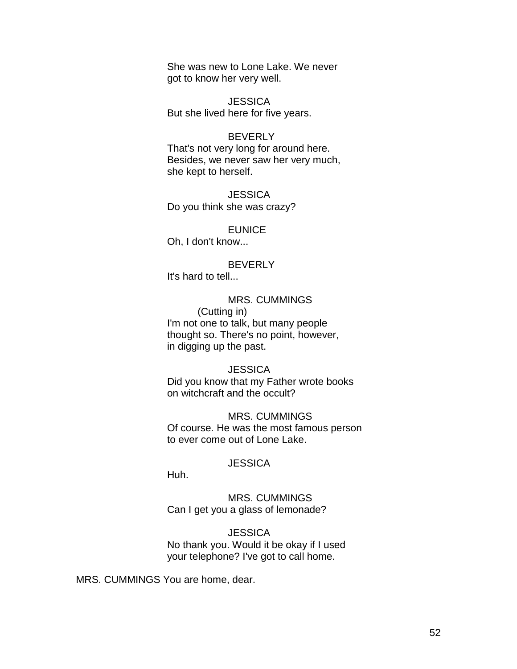She was new to Lone Lake. We never got to know her very well.

**JESSICA** But she lived here for five years.

#### BEVERLY

That's not very long for around here. Besides, we never saw her very much, she kept to herself.

**JESSICA** Do you think she was crazy?

#### EUNICE

Oh, I don't know...

# BEVERLY

It's hard to tell...

### MRS. CUMMINGS

(Cutting in) I'm not one to talk, but many people thought so. There's no point, however, in digging up the past.

#### **JESSICA**

Did you know that my Father wrote books on witchcraft and the occult?

MRS. CUMMINGS Of course. He was the most famous person to ever come out of Lone Lake.

#### **JESSICA**

Huh.

MRS. CUMMINGS Can I get you a glass of lemonade?

**JESSICA** No thank you. Would it be okay if I used your telephone? I've got to call home.

MRS. CUMMINGS You are home, dear.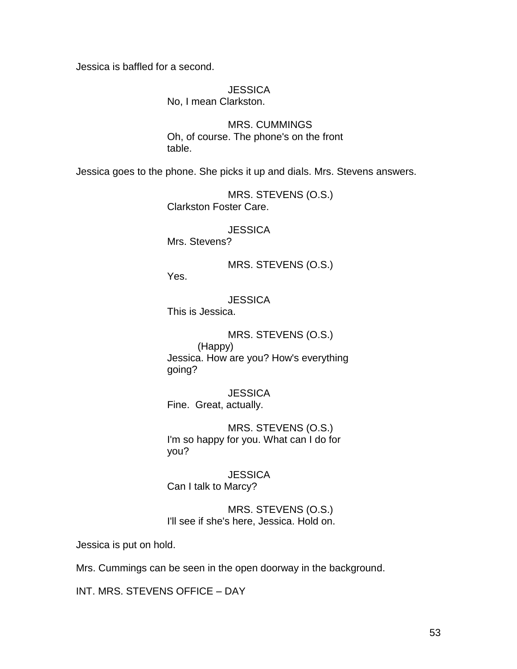Jessica is baffled for a second.

**JESSICA** No, I mean Clarkston.

MRS. CUMMINGS Oh, of course. The phone's on the front table.

Jessica goes to the phone. She picks it up and dials. Mrs. Stevens answers.

MRS. STEVENS (O.S.) Clarkston Foster Care.

JESSICA

Mrs. Stevens?

MRS. STEVENS (O.S.)

Yes.

**JESSICA** 

This is Jessica.

MRS. STEVENS (O.S.)

(Happy) Jessica. How are you? How's everything going?

**JESSICA** Fine. Great, actually.

MRS. STEVENS (O.S.) I'm so happy for you. What can I do for you?

**JESSICA** Can I talk to Marcy?

MRS. STEVENS (O.S.) I'll see if she's here, Jessica. Hold on.

Jessica is put on hold.

Mrs. Cummings can be seen in the open doorway in the background.

INT. MRS. STEVENS OFFICE – DAY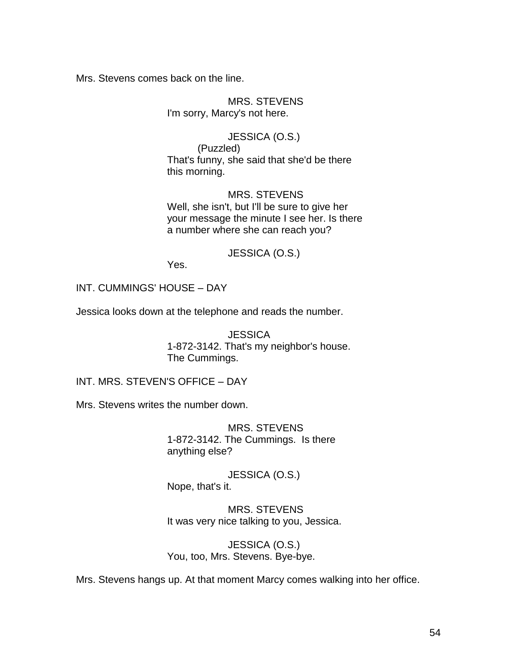Mrs. Stevens comes back on the line.

MRS. STEVENS I'm sorry, Marcy's not here.

JESSICA (O.S.)

(Puzzled) That's funny, she said that she'd be there this morning.

MRS. STEVENS Well, she isn't, but I'll be sure to give her your message the minute I see her. Is there a number where she can reach you?

JESSICA (O.S.)

Yes.

INT. CUMMINGS' HOUSE – DAY

Jessica looks down at the telephone and reads the number.

**JESSICA** 1-872-3142. That's my neighbor's house. The Cummings.

INT. MRS. STEVEN'S OFFICE – DAY

Mrs. Stevens writes the number down.

MRS. STEVENS 1-872-3142. The Cummings. Is there anything else?

JESSICA (O.S.) Nope, that's it.

MRS. STEVENS It was very nice talking to you, Jessica.

JESSICA (O.S.) You, too, Mrs. Stevens. Bye-bye.

Mrs. Stevens hangs up. At that moment Marcy comes walking into her office.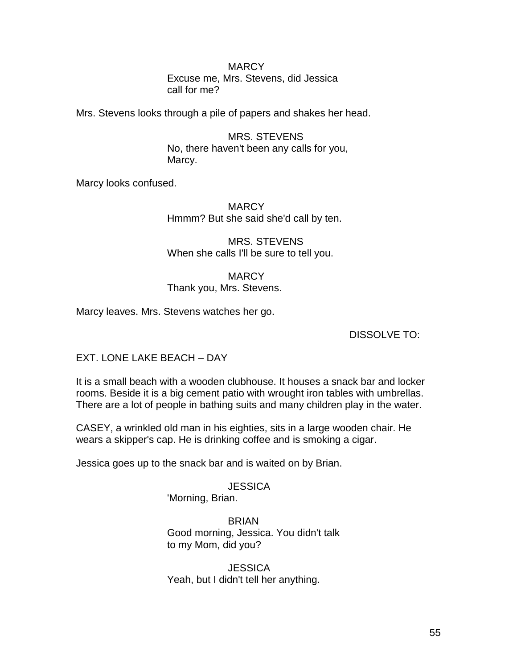**MARCY** Excuse me, Mrs. Stevens, did Jessica call for me?

Mrs. Stevens looks through a pile of papers and shakes her head.

MRS. STEVENS No, there haven't been any calls for you, Marcy.

Marcy looks confused.

**MARCY** Hmmm? But she said she'd call by ten.

MRS. STEVENS When she calls I'll be sure to tell you.

**MARCY** Thank you, Mrs. Stevens.

Marcy leaves. Mrs. Stevens watches her go.

DISSOLVE TO:

EXT. LONE LAKE BEACH – DAY

It is a small beach with a wooden clubhouse. It houses a snack bar and locker rooms. Beside it is a big cement patio with wrought iron tables with umbrellas. There are a lot of people in bathing suits and many children play in the water.

CASEY, a wrinkled old man in his eighties, sits in a large wooden chair. He wears a skipper's cap. He is drinking coffee and is smoking a cigar.

Jessica goes up to the snack bar and is waited on by Brian.

JESSICA

'Morning, Brian.

BRIAN Good morning, Jessica. You didn't talk to my Mom, did you?

**JESSICA** Yeah, but I didn't tell her anything.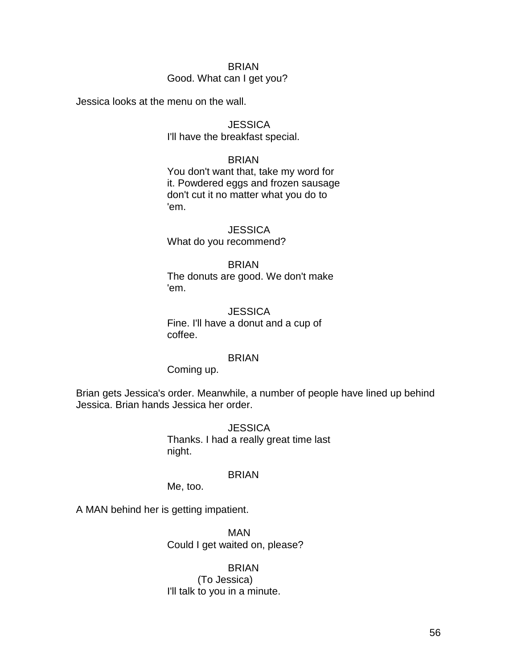#### BRIAN

#### Good. What can I get you?

Jessica looks at the menu on the wall.

**JESSICA** I'll have the breakfast special.

#### BRIAN

You don't want that, take my word for it. Powdered eggs and frozen sausage don't cut it no matter what you do to 'em.

JESSICA What do you recommend?

#### BRIAN

The donuts are good. We don't make 'em.

**JESSICA** Fine. I'll have a donut and a cup of coffee.

#### BRIAN

Coming up.

Brian gets Jessica's order. Meanwhile, a number of people have lined up behind Jessica. Brian hands Jessica her order.

> **JESSICA** Thanks. I had a really great time last night.

# BRIAN

Me, too.

A MAN behind her is getting impatient.

MAN Could I get waited on, please?

#### BRIAN

(To Jessica) I'll talk to you in a minute.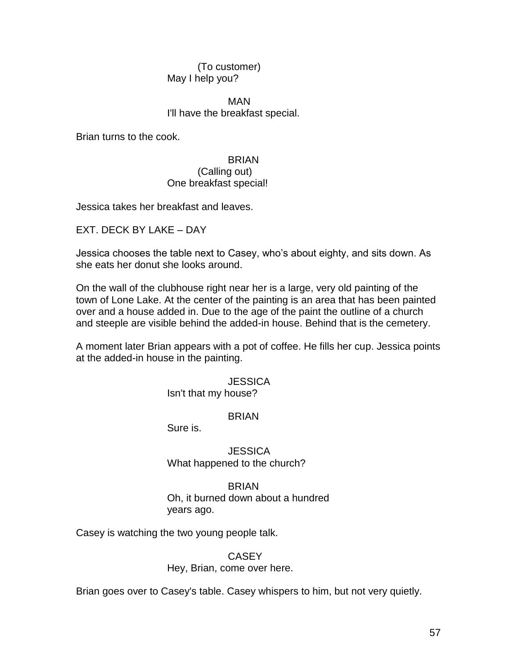# (To customer) May I help you?

#### MAN I'll have the breakfast special.

Brian turns to the cook.

# BRIAN (Calling out) One breakfast special!

Jessica takes her breakfast and leaves.

EXT. DECK BY LAKE – DAY

Jessica chooses the table next to Casey, who's about eighty, and sits down. As she eats her donut she looks around.

On the wall of the clubhouse right near her is a large, very old painting of the town of Lone Lake. At the center of the painting is an area that has been painted over and a house added in. Due to the age of the paint the outline of a church and steeple are visible behind the added-in house. Behind that is the cemetery.

A moment later Brian appears with a pot of coffee. He fills her cup. Jessica points at the added-in house in the painting.

# **JESSICA**

Isn't that my house?

### BRIAN

Sure is.

### **JESSICA** What happened to the church?

**BRIAN** Oh, it burned down about a hundred years ago.

Casey is watching the two young people talk.

# **CASEY** Hey, Brian, come over here.

Brian goes over to Casey's table. Casey whispers to him, but not very quietly.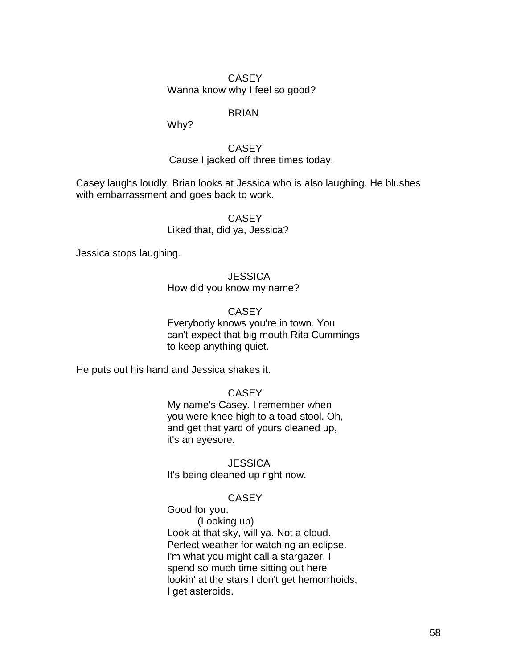### **CASEY** Wanna know why I feel so good?

### **BRIAN**

Why?

### **CASEY** 'Cause I jacked off three times today.

Casey laughs loudly. Brian looks at Jessica who is also laughing. He blushes with embarrassment and goes back to work.

> CASEY Liked that, did ya, Jessica?

Jessica stops laughing.

**JESSICA** How did you know my name?

### **CASEY**

Everybody knows you're in town. You can't expect that big mouth Rita Cummings to keep anything quiet.

He puts out his hand and Jessica shakes it.

### **CASEY**

My name's Casey. I remember when you were knee high to a toad stool. Oh, and get that yard of yours cleaned up, it's an eyesore.

**JESSICA** 

It's being cleaned up right now.

# **CASEY**

Good for you.

(Looking up) Look at that sky, will ya. Not a cloud. Perfect weather for watching an eclipse. I'm what you might call a stargazer. I spend so much time sitting out here lookin' at the stars I don't get hemorrhoids, I get asteroids.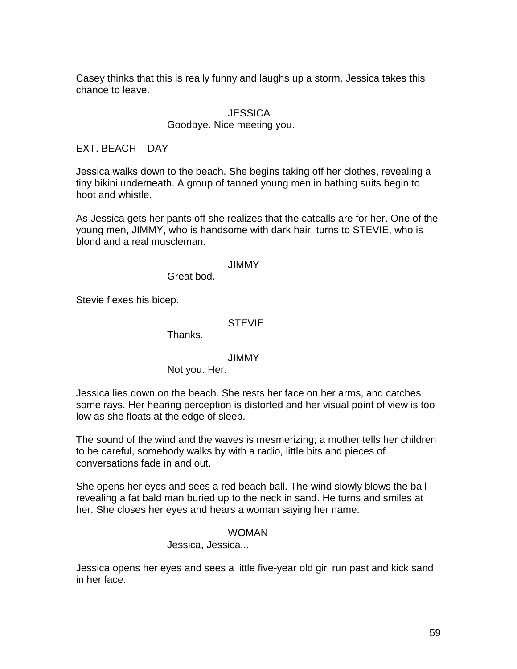Casey thinks that this is really funny and laughs up a storm. Jessica takes this chance to leave.

### JESSICA

### Goodbye. Nice meeting you.

EXT. BEACH – DAY

Jessica walks down to the beach. She begins taking off her clothes, revealing a tiny bikini underneath. A group of tanned young men in bathing suits begin to hoot and whistle.

As Jessica gets her pants off she realizes that the catcalls are for her. One of the young men, JIMMY, who is handsome with dark hair, turns to STEVIE, who is blond and a real muscleman.

#### JIMMY

Great bod.

Stevie flexes his bicep.

### STEVIE

Thanks.

#### JIMMY

Not you. Her.

Jessica lies down on the beach. She rests her face on her arms, and catches some rays. Her hearing perception is distorted and her visual point of view is too low as she floats at the edge of sleep.

The sound of the wind and the waves is mesmerizing; a mother tells her children to be careful, somebody walks by with a radio, little bits and pieces of conversations fade in and out.

She opens her eyes and sees a red beach ball. The wind slowly blows the ball revealing a fat bald man buried up to the neck in sand. He turns and smiles at her. She closes her eyes and hears a woman saying her name.

### WOMAN

Jessica, Jessica...

Jessica opens her eyes and sees a little five-year old girl run past and kick sand in her face.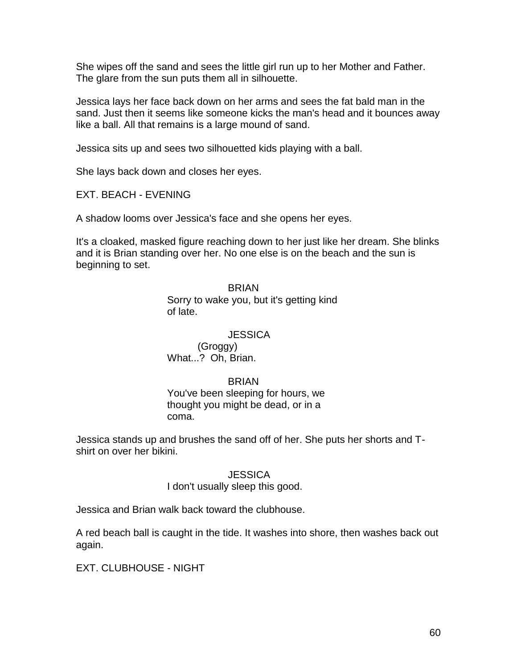She wipes off the sand and sees the little girl run up to her Mother and Father. The glare from the sun puts them all in silhouette.

Jessica lays her face back down on her arms and sees the fat bald man in the sand. Just then it seems like someone kicks the man's head and it bounces away like a ball. All that remains is a large mound of sand.

Jessica sits up and sees two silhouetted kids playing with a ball.

She lays back down and closes her eyes.

EXT. BEACH - EVENING

A shadow looms over Jessica's face and she opens her eyes.

It's a cloaked, masked figure reaching down to her just like her dream. She blinks and it is Brian standing over her. No one else is on the beach and the sun is beginning to set.

**BRIAN** 

Sorry to wake you, but it's getting kind of late.

**JESSICA** 

(Groggy) What...? Oh, Brian.

#### BRIAN

You've been sleeping for hours, we thought you might be dead, or in a coma.

Jessica stands up and brushes the sand off of her. She puts her shorts and Tshirt on over her bikini.

#### **JESSICA**

### I don't usually sleep this good.

Jessica and Brian walk back toward the clubhouse.

A red beach ball is caught in the tide. It washes into shore, then washes back out again.

EXT. CLUBHOUSE - NIGHT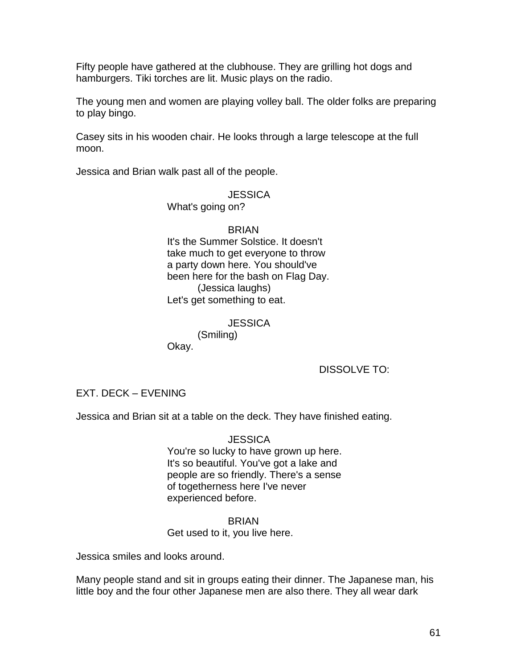Fifty people have gathered at the clubhouse. They are grilling hot dogs and hamburgers. Tiki torches are lit. Music plays on the radio.

The young men and women are playing volley ball. The older folks are preparing to play bingo.

Casey sits in his wooden chair. He looks through a large telescope at the full moon.

Jessica and Brian walk past all of the people.

**JESSICA** 

What's going on?

#### **BRIAN**

It's the Summer Solstice. It doesn't take much to get everyone to throw a party down here. You should've been here for the bash on Flag Day. (Jessica laughs) Let's get something to eat.

#### **JESSICA**

(Smiling)

Okay.

DISSOLVE TO:

# EXT. DECK – EVENING

Jessica and Brian sit at a table on the deck. They have finished eating.

### **JESSICA**

You're so lucky to have grown up here. It's so beautiful. You've got a lake and people are so friendly. There's a sense of togetherness here I've never experienced before.

# **BRIAN**

Get used to it, you live here.

Jessica smiles and looks around.

Many people stand and sit in groups eating their dinner. The Japanese man, his little boy and the four other Japanese men are also there. They all wear dark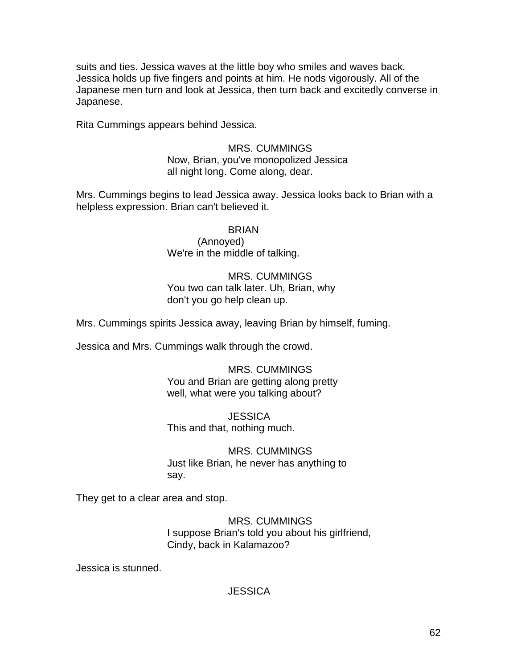suits and ties. Jessica waves at the little boy who smiles and waves back. Jessica holds up five fingers and points at him. He nods vigorously. All of the Japanese men turn and look at Jessica, then turn back and excitedly converse in Japanese.

Rita Cummings appears behind Jessica.

#### MRS. CUMMINGS Now, Brian, you've monopolized Jessica all night long. Come along, dear.

Mrs. Cummings begins to lead Jessica away. Jessica looks back to Brian with a helpless expression. Brian can't believed it.

### BRIAN (Annoyed) We're in the middle of talking.

# MRS. CUMMINGS You two can talk later. Uh, Brian, why don't you go help clean up.

Mrs. Cummings spirits Jessica away, leaving Brian by himself, fuming.

Jessica and Mrs. Cummings walk through the crowd.

### MRS. CUMMINGS

You and Brian are getting along pretty well, what were you talking about?

**JESSICA** This and that, nothing much.

MRS. CUMMINGS Just like Brian, he never has anything to say.

They get to a clear area and stop.

MRS. CUMMINGS I suppose Brian's told you about his girlfriend, Cindy, back in Kalamazoo?

Jessica is stunned.

# **JESSICA**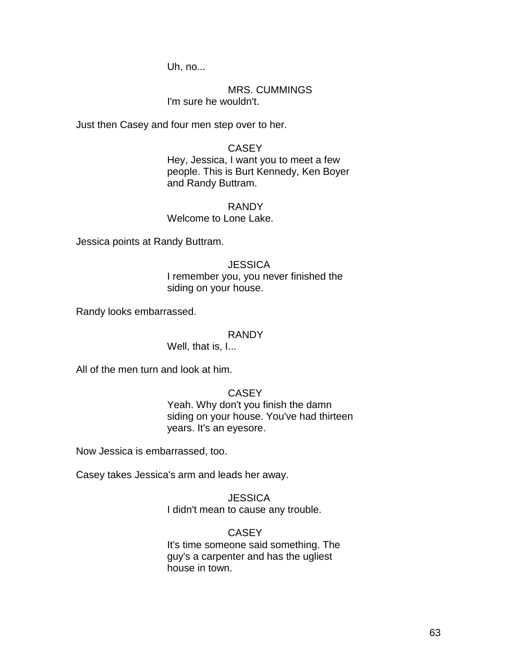Uh, no...

### MRS. CUMMINGS I'm sure he wouldn't.

Just then Casey and four men step over to her.

#### **CASEY**

Hey, Jessica, I want you to meet a few people. This is Burt Kennedy, Ken Boyer and Randy Buttram.

RANDY Welcome to Lone Lake.

Jessica points at Randy Buttram.

# **JESSICA** I remember you, you never finished the siding on your house.

Randy looks embarrassed.

#### RANDY

Well, that is, I...

All of the men turn and look at him.

#### **CASEY**

Yeah. Why don't you finish the damn siding on your house. You've had thirteen years. It's an eyesore.

Now Jessica is embarrassed, too.

Casey takes Jessica's arm and leads her away.

### **JESSICA** I didn't mean to cause any trouble.

# **CASEY**

It's time someone said something. The guy's a carpenter and has the ugliest house in town.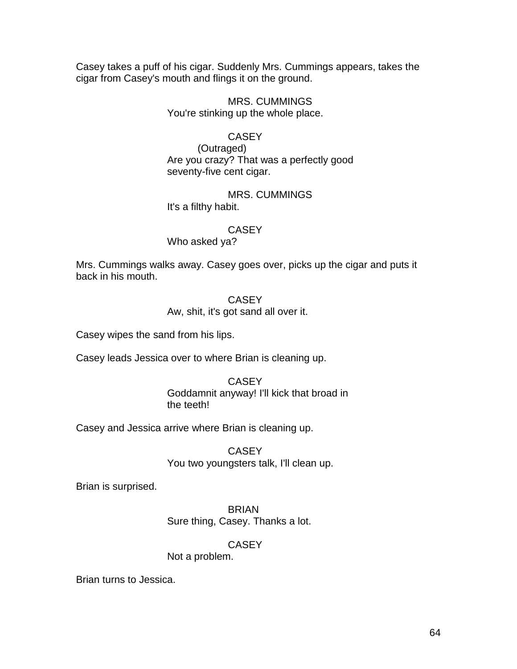Casey takes a puff of his cigar. Suddenly Mrs. Cummings appears, takes the cigar from Casey's mouth and flings it on the ground.

> MRS. CUMMINGS You're stinking up the whole place.

### **CASEY**

(Outraged) Are you crazy? That was a perfectly good seventy-five cent cigar.

#### MRS. CUMMINGS It's a filthy habit.

### **CASEY**

Who asked ya?

Mrs. Cummings walks away. Casey goes over, picks up the cigar and puts it back in his mouth.

### CASEY Aw, shit, it's got sand all over it.

Casey wipes the sand from his lips.

Casey leads Jessica over to where Brian is cleaning up.

### **CASEY** Goddamnit anyway! I'll kick that broad in the teeth!

Casey and Jessica arrive where Brian is cleaning up.

CASEY You two youngsters talk, I'll clean up.

Brian is surprised.

BRIAN Sure thing, Casey. Thanks a lot.

# **CASEY**

# Not a problem.

Brian turns to Jessica.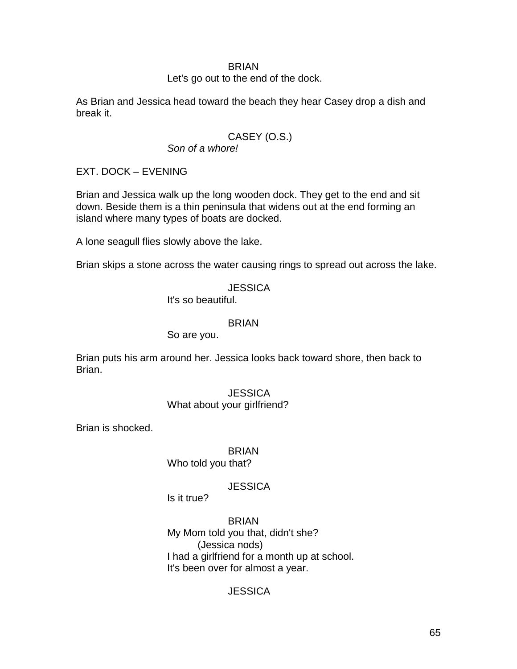#### BRIAN

### Let's go out to the end of the dock.

As Brian and Jessica head toward the beach they hear Casey drop a dish and break it.

# CASEY (O.S.)

*Son of a whore!*

# EXT. DOCK – EVENING

Brian and Jessica walk up the long wooden dock. They get to the end and sit down. Beside them is a thin peninsula that widens out at the end forming an island where many types of boats are docked.

A lone seagull flies slowly above the lake.

Brian skips a stone across the water causing rings to spread out across the lake.

### JESSICA

It's so beautiful.

### BRIAN

So are you.

Brian puts his arm around her. Jessica looks back toward shore, then back to Brian.

> **JESSICA** What about your girlfriend?

Brian is shocked.

BRIAN Who told you that?

### JESSICA

Is it true?

BRIAN My Mom told you that, didn't she? (Jessica nods) I had a girlfriend for a month up at school. It's been over for almost a year.

# **JESSICA**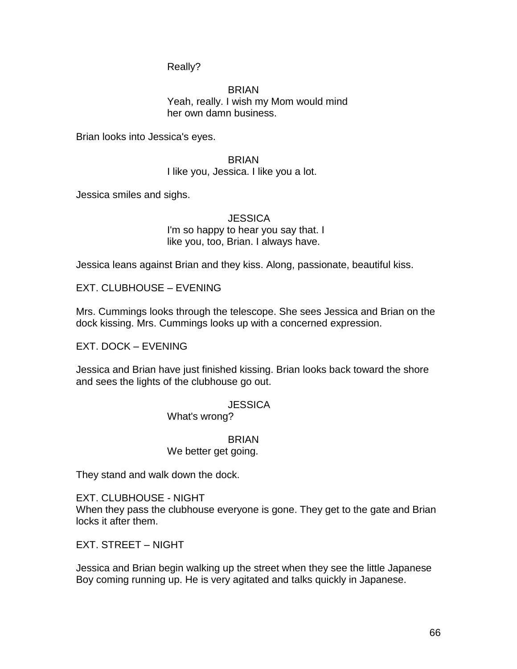Really?

BRIAN Yeah, really. I wish my Mom would mind her own damn business.

Brian looks into Jessica's eyes.

BRIAN I like you, Jessica. I like you a lot.

Jessica smiles and sighs.

### **JESSICA** I'm so happy to hear you say that. I like you, too, Brian. I always have.

Jessica leans against Brian and they kiss. Along, passionate, beautiful kiss.

EXT. CLUBHOUSE – EVENING

Mrs. Cummings looks through the telescope. She sees Jessica and Brian on the dock kissing. Mrs. Cummings looks up with a concerned expression.

EXT. DOCK – EVENING

Jessica and Brian have just finished kissing. Brian looks back toward the shore and sees the lights of the clubhouse go out.

# **JESSICA**

What's wrong?

### BRIAN We better get going.

They stand and walk down the dock.

EXT. CLUBHOUSE - NIGHT When they pass the clubhouse everyone is gone. They get to the gate and Brian locks it after them.

EXT. STREET – NIGHT

Jessica and Brian begin walking up the street when they see the little Japanese Boy coming running up. He is very agitated and talks quickly in Japanese.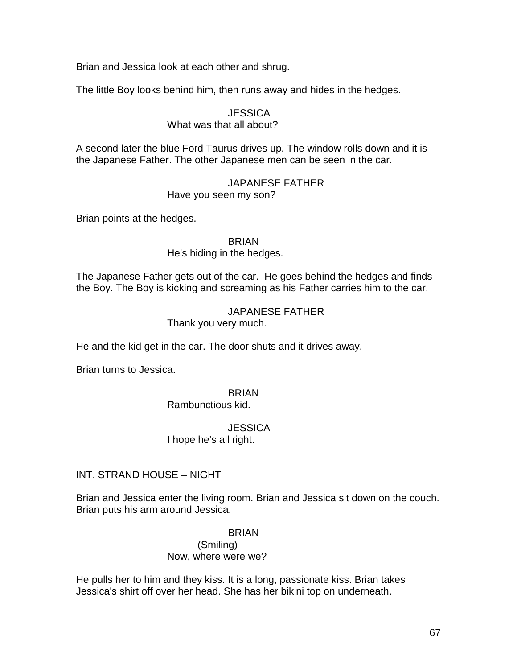Brian and Jessica look at each other and shrug.

The little Boy looks behind him, then runs away and hides in the hedges.

### JESSICA

### What was that all about?

A second later the blue Ford Taurus drives up. The window rolls down and it is the Japanese Father. The other Japanese men can be seen in the car.

> JAPANESE FATHER Have you seen my son?

Brian points at the hedges.

BRIAN

He's hiding in the hedges.

The Japanese Father gets out of the car. He goes behind the hedges and finds the Boy. The Boy is kicking and screaming as his Father carries him to the car.

### JAPANESE FATHER Thank you very much.

He and the kid get in the car. The door shuts and it drives away.

Brian turns to Jessica.

# BRIAN

Rambunctious kid.

### **JESSICA**

I hope he's all right.

INT. STRAND HOUSE – NIGHT

Brian and Jessica enter the living room. Brian and Jessica sit down on the couch. Brian puts his arm around Jessica.

# BRIAN

(Smiling) Now, where were we?

He pulls her to him and they kiss. It is a long, passionate kiss. Brian takes Jessica's shirt off over her head. She has her bikini top on underneath.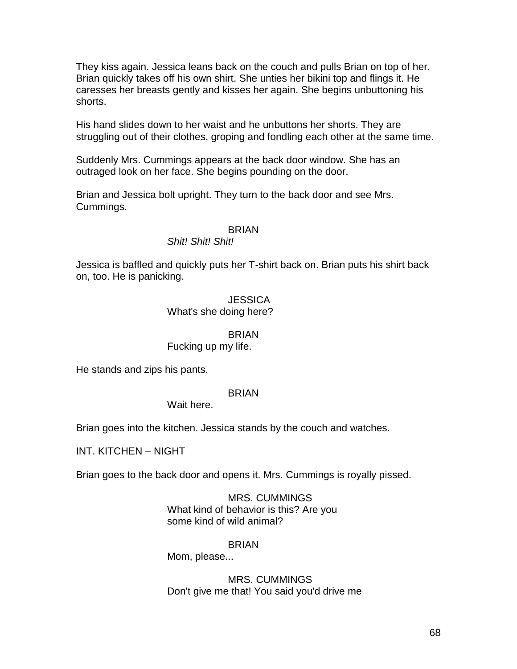They kiss again. Jessica leans back on the couch and pulls Brian on top of her. Brian quickly takes off his own shirt. She unties her bikini top and flings it. He caresses her breasts gently and kisses her again. She begins unbuttoning his shorts.

His hand slides down to her waist and he unbuttons her shorts. They are struggling out of their clothes, groping and fondling each other at the same time.

Suddenly Mrs. Cummings appears at the back door window. She has an outraged look on her face. She begins pounding on the door.

Brian and Jessica bolt upright. They turn to the back door and see Mrs. Cummings.

### **BRIAN**

#### *Shit! Shit! Shit!*

Jessica is baffled and quickly puts her T-shirt back on. Brian puts his shirt back on, too. He is panicking.

# **JESSICA**

What's she doing here?

#### BRIAN

Fucking up my life.

He stands and zips his pants.

### BRIAN

Wait here.

Brian goes into the kitchen. Jessica stands by the couch and watches.

INT. KITCHEN – NIGHT

Brian goes to the back door and opens it. Mrs. Cummings is royally pissed.

MRS. CUMMINGS What kind of behavior is this? Are you some kind of wild animal?

### **BRIAN**

Mom, please...

MRS. CUMMINGS Don't give me that! You said you'd drive me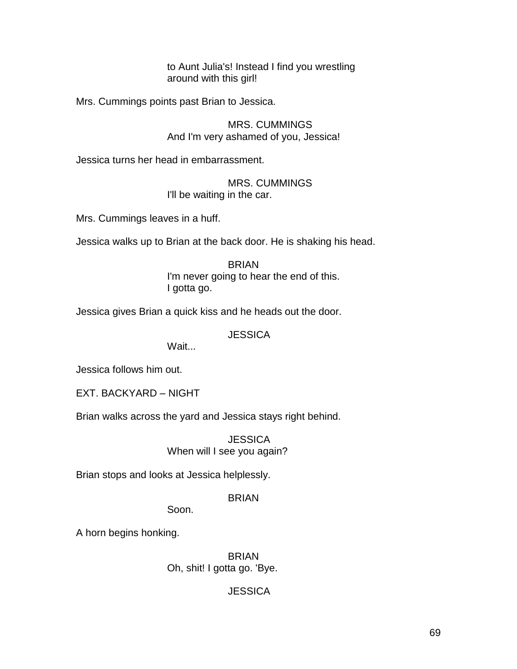to Aunt Julia's! Instead I find you wrestling around with this girl!

Mrs. Cummings points past Brian to Jessica.

MRS. CUMMINGS And I'm very ashamed of you, Jessica!

Jessica turns her head in embarrassment.

MRS. CUMMINGS I'll be waiting in the car.

Mrs. Cummings leaves in a huff.

Jessica walks up to Brian at the back door. He is shaking his head.

BRIAN I'm never going to hear the end of this. I gotta go.

Jessica gives Brian a quick kiss and he heads out the door.

### **JESSICA**

Wait...

Jessica follows him out.

EXT. BACKYARD – NIGHT

Brian walks across the yard and Jessica stays right behind.

**JESSICA** When will I see you again?

Brian stops and looks at Jessica helplessly.

# BRIAN

Soon.

A horn begins honking.

BRIAN Oh, shit! I gotta go. 'Bye.

# **JESSICA**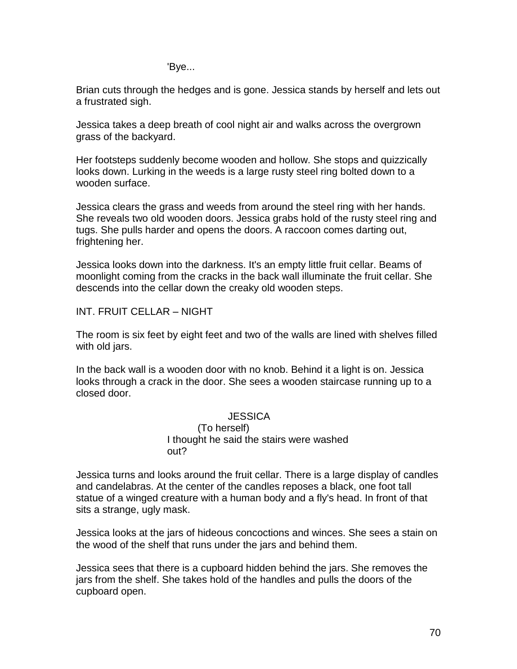'Bye...

Brian cuts through the hedges and is gone. Jessica stands by herself and lets out a frustrated sigh.

Jessica takes a deep breath of cool night air and walks across the overgrown grass of the backyard.

Her footsteps suddenly become wooden and hollow. She stops and quizzically looks down. Lurking in the weeds is a large rusty steel ring bolted down to a wooden surface.

Jessica clears the grass and weeds from around the steel ring with her hands. She reveals two old wooden doors. Jessica grabs hold of the rusty steel ring and tugs. She pulls harder and opens the doors. A raccoon comes darting out, frightening her.

Jessica looks down into the darkness. It's an empty little fruit cellar. Beams of moonlight coming from the cracks in the back wall illuminate the fruit cellar. She descends into the cellar down the creaky old wooden steps.

INT. FRUIT CELLAR – NIGHT

The room is six feet by eight feet and two of the walls are lined with shelves filled with old jars.

In the back wall is a wooden door with no knob. Behind it a light is on. Jessica looks through a crack in the door. She sees a wooden staircase running up to a closed door.

> **JESSICA** (To herself) I thought he said the stairs were washed out?

Jessica turns and looks around the fruit cellar. There is a large display of candles and candelabras. At the center of the candles reposes a black, one foot tall statue of a winged creature with a human body and a fly's head. In front of that sits a strange, ugly mask.

Jessica looks at the jars of hideous concoctions and winces. She sees a stain on the wood of the shelf that runs under the jars and behind them.

Jessica sees that there is a cupboard hidden behind the jars. She removes the jars from the shelf. She takes hold of the handles and pulls the doors of the cupboard open.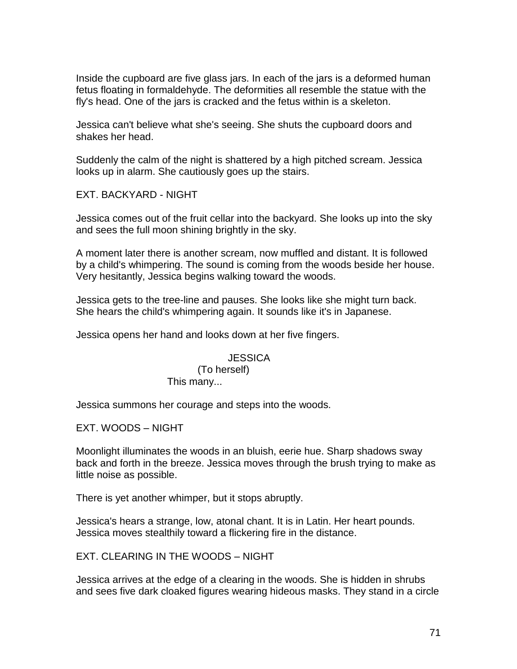Inside the cupboard are five glass jars. In each of the jars is a deformed human fetus floating in formaldehyde. The deformities all resemble the statue with the fly's head. One of the jars is cracked and the fetus within is a skeleton.

Jessica can't believe what she's seeing. She shuts the cupboard doors and shakes her head.

Suddenly the calm of the night is shattered by a high pitched scream. Jessica looks up in alarm. She cautiously goes up the stairs.

EXT. BACKYARD - NIGHT

Jessica comes out of the fruit cellar into the backyard. She looks up into the sky and sees the full moon shining brightly in the sky.

A moment later there is another scream, now muffled and distant. It is followed by a child's whimpering. The sound is coming from the woods beside her house. Very hesitantly, Jessica begins walking toward the woods.

Jessica gets to the tree-line and pauses. She looks like she might turn back. She hears the child's whimpering again. It sounds like it's in Japanese.

Jessica opens her hand and looks down at her five fingers.

#### **JESSICA**

#### (To herself) This many...

Jessica summons her courage and steps into the woods.

EXT. WOODS – NIGHT

Moonlight illuminates the woods in an bluish, eerie hue. Sharp shadows sway back and forth in the breeze. Jessica moves through the brush trying to make as little noise as possible.

There is yet another whimper, but it stops abruptly.

Jessica's hears a strange, low, atonal chant. It is in Latin. Her heart pounds. Jessica moves stealthily toward a flickering fire in the distance.

EXT. CLEARING IN THE WOODS – NIGHT

Jessica arrives at the edge of a clearing in the woods. She is hidden in shrubs and sees five dark cloaked figures wearing hideous masks. They stand in a circle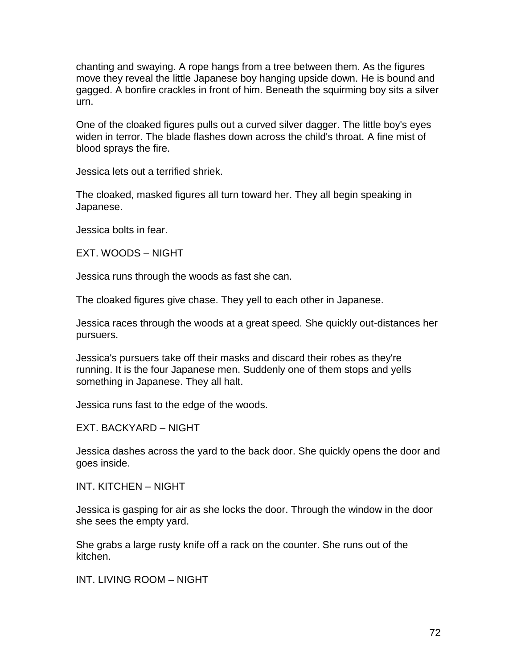chanting and swaying. A rope hangs from a tree between them. As the figures move they reveal the little Japanese boy hanging upside down. He is bound and gagged. A bonfire crackles in front of him. Beneath the squirming boy sits a silver urn.

One of the cloaked figures pulls out a curved silver dagger. The little boy's eyes widen in terror. The blade flashes down across the child's throat. A fine mist of blood sprays the fire.

Jessica lets out a terrified shriek.

The cloaked, masked figures all turn toward her. They all begin speaking in Japanese.

Jessica bolts in fear.

EXT. WOODS – NIGHT

Jessica runs through the woods as fast she can.

The cloaked figures give chase. They yell to each other in Japanese.

Jessica races through the woods at a great speed. She quickly out-distances her pursuers.

Jessica's pursuers take off their masks and discard their robes as they're running. It is the four Japanese men. Suddenly one of them stops and yells something in Japanese. They all halt.

Jessica runs fast to the edge of the woods.

EXT. BACKYARD – NIGHT

Jessica dashes across the yard to the back door. She quickly opens the door and goes inside.

INT. KITCHEN – NIGHT

Jessica is gasping for air as she locks the door. Through the window in the door she sees the empty yard.

She grabs a large rusty knife off a rack on the counter. She runs out of the kitchen.

INT. LIVING ROOM – NIGHT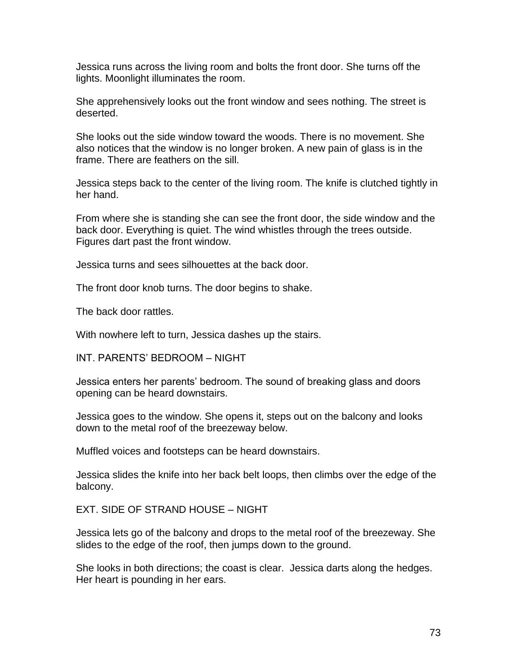Jessica runs across the living room and bolts the front door. She turns off the lights. Moonlight illuminates the room.

She apprehensively looks out the front window and sees nothing. The street is deserted.

She looks out the side window toward the woods. There is no movement. She also notices that the window is no longer broken. A new pain of glass is in the frame. There are feathers on the sill.

Jessica steps back to the center of the living room. The knife is clutched tightly in her hand.

From where she is standing she can see the front door, the side window and the back door. Everything is quiet. The wind whistles through the trees outside. Figures dart past the front window.

Jessica turns and sees silhouettes at the back door.

The front door knob turns. The door begins to shake.

The back door rattles.

With nowhere left to turn, Jessica dashes up the stairs.

#### INT. PARENTS' BEDROOM – NIGHT

Jessica enters her parents' bedroom. The sound of breaking glass and doors opening can be heard downstairs.

Jessica goes to the window. She opens it, steps out on the balcony and looks down to the metal roof of the breezeway below.

Muffled voices and footsteps can be heard downstairs.

Jessica slides the knife into her back belt loops, then climbs over the edge of the balcony.

EXT. SIDE OF STRAND HOUSE – NIGHT

Jessica lets go of the balcony and drops to the metal roof of the breezeway. She slides to the edge of the roof, then jumps down to the ground.

She looks in both directions; the coast is clear. Jessica darts along the hedges. Her heart is pounding in her ears.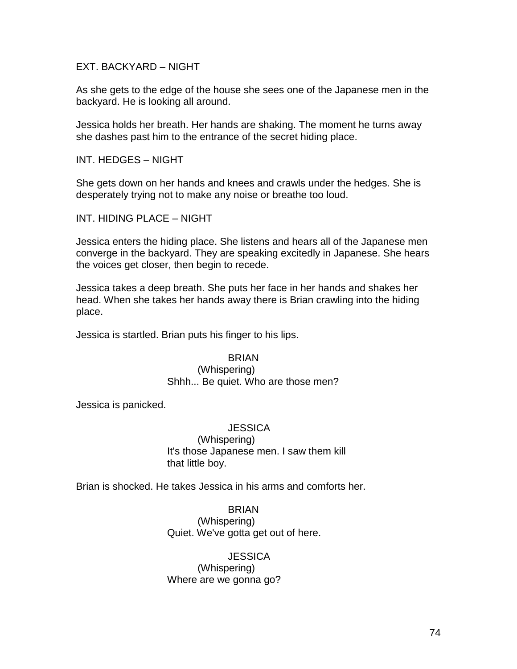EXT. BACKYARD – NIGHT

As she gets to the edge of the house she sees one of the Japanese men in the backyard. He is looking all around.

Jessica holds her breath. Her hands are shaking. The moment he turns away she dashes past him to the entrance of the secret hiding place.

INT. HEDGES – NIGHT

She gets down on her hands and knees and crawls under the hedges. She is desperately trying not to make any noise or breathe too loud.

INT. HIDING PLACE – NIGHT

Jessica enters the hiding place. She listens and hears all of the Japanese men converge in the backyard. They are speaking excitedly in Japanese. She hears the voices get closer, then begin to recede.

Jessica takes a deep breath. She puts her face in her hands and shakes her head. When she takes her hands away there is Brian crawling into the hiding place.

Jessica is startled. Brian puts his finger to his lips.

#### BRIAN

#### (Whispering) Shhh... Be quiet. Who are those men?

Jessica is panicked.

#### **JESSICA**

(Whispering) It's those Japanese men. I saw them kill that little boy.

Brian is shocked. He takes Jessica in his arms and comforts her.

#### BRIAN

(Whispering) Quiet. We've gotta get out of here.

#### **JESSICA**

(Whispering) Where are we gonna go?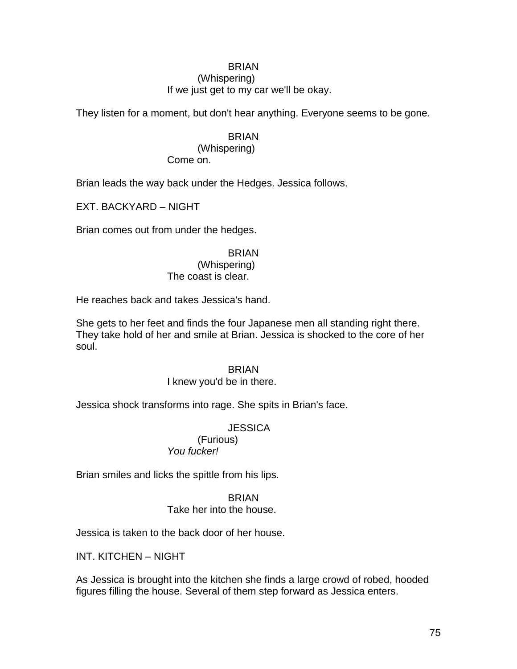## BRIAN

#### (Whispering) If we just get to my car we'll be okay.

They listen for a moment, but don't hear anything. Everyone seems to be gone.

## BRIAN

(Whispering) Come on.

Brian leads the way back under the Hedges. Jessica follows.

EXT. BACKYARD – NIGHT

Brian comes out from under the hedges.

## BRIAN

## (Whispering) The coast is clear.

He reaches back and takes Jessica's hand.

She gets to her feet and finds the four Japanese men all standing right there. They take hold of her and smile at Brian. Jessica is shocked to the core of her soul.

## BRIAN

## I knew you'd be in there.

Jessica shock transforms into rage. She spits in Brian's face.

## **JESSICA**

#### (Furious) *You fucker!*

Brian smiles and licks the spittle from his lips.

## BRIAN

## Take her into the house.

Jessica is taken to the back door of her house.

INT. KITCHEN – NIGHT

As Jessica is brought into the kitchen she finds a large crowd of robed, hooded figures filling the house. Several of them step forward as Jessica enters.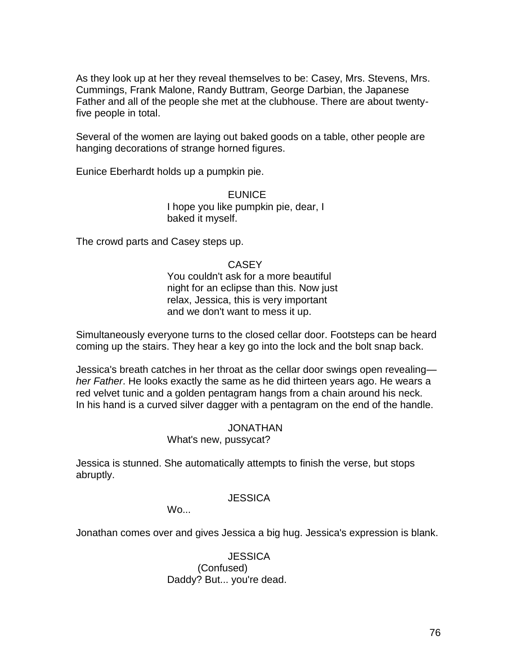As they look up at her they reveal themselves to be: Casey, Mrs. Stevens, Mrs. Cummings, Frank Malone, Randy Buttram, George Darbian, the Japanese Father and all of the people she met at the clubhouse. There are about twentyfive people in total.

Several of the women are laying out baked goods on a table, other people are hanging decorations of strange horned figures.

Eunice Eberhardt holds up a pumpkin pie.

**EUNICE** I hope you like pumpkin pie, dear, I baked it myself.

The crowd parts and Casey steps up.

#### CASEY

You couldn't ask for a more beautiful night for an eclipse than this. Now just relax, Jessica, this is very important and we don't want to mess it up.

Simultaneously everyone turns to the closed cellar door. Footsteps can be heard coming up the stairs. They hear a key go into the lock and the bolt snap back.

Jessica's breath catches in her throat as the cellar door swings open revealing *her Father*. He looks exactly the same as he did thirteen years ago. He wears a red velvet tunic and a golden pentagram hangs from a chain around his neck. In his hand is a curved silver dagger with a pentagram on the end of the handle.

#### JONATHAN

#### What's new, pussycat?

Jessica is stunned. She automatically attempts to finish the verse, but stops abruptly.

#### **JESSICA**

 $W_0$ ...

Jonathan comes over and gives Jessica a big hug. Jessica's expression is blank.

JESSICA (Confused) Daddy? But... you're dead.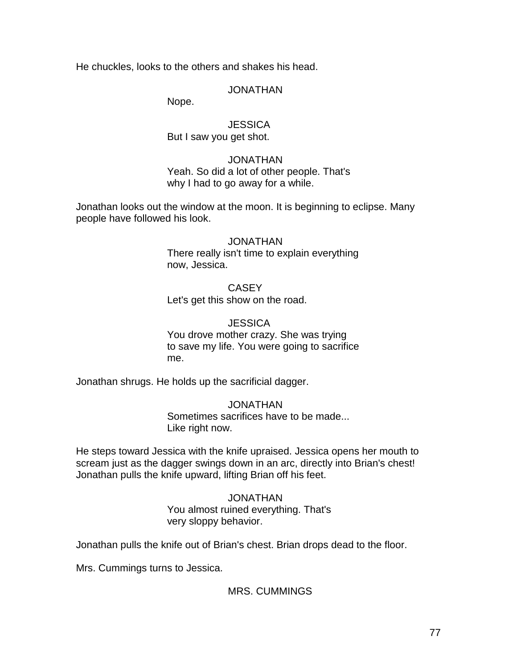He chuckles, looks to the others and shakes his head.

## JONATHAN

Nope.

## **JESSICA**

But I saw you get shot.

## JONATHAN

Yeah. So did a lot of other people. That's why I had to go away for a while.

Jonathan looks out the window at the moon. It is beginning to eclipse. Many people have followed his look.

## JONATHAN There really isn't time to explain everything now, Jessica.

## **CASEY** Let's get this show on the road.

## **JESSICA** You drove mother crazy. She was trying to save my life. You were going to sacrifice me.

Jonathan shrugs. He holds up the sacrificial dagger.

## JONATHAN

Sometimes sacrifices have to be made... Like right now.

He steps toward Jessica with the knife upraised. Jessica opens her mouth to scream just as the dagger swings down in an arc, directly into Brian's chest! Jonathan pulls the knife upward, lifting Brian off his feet.

## JONATHAN You almost ruined everything. That's very sloppy behavior.

Jonathan pulls the knife out of Brian's chest. Brian drops dead to the floor.

Mrs. Cummings turns to Jessica.

## MRS. CUMMINGS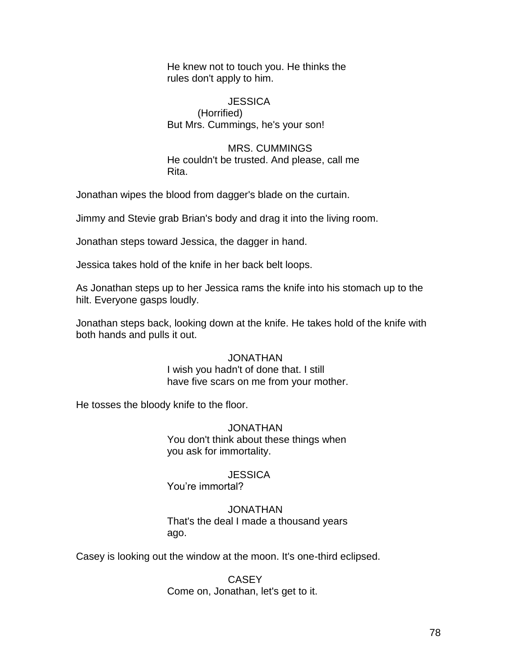He knew not to touch you. He thinks the rules don't apply to him.

**JESSICA** (Horrified) But Mrs. Cummings, he's your son!

MRS. CUMMINGS He couldn't be trusted. And please, call me Rita.

Jonathan wipes the blood from dagger's blade on the curtain.

Jimmy and Stevie grab Brian's body and drag it into the living room.

Jonathan steps toward Jessica, the dagger in hand.

Jessica takes hold of the knife in her back belt loops.

As Jonathan steps up to her Jessica rams the knife into his stomach up to the hilt. Everyone gasps loudly.

Jonathan steps back, looking down at the knife. He takes hold of the knife with both hands and pulls it out.

## JONATHAN I wish you hadn't of done that. I still have five scars on me from your mother.

He tosses the bloody knife to the floor.

JONATHAN You don't think about these things when you ask for immortality.

**JESSICA** You're immortal?

## JONATHAN That's the deal I made a thousand years ago.

Casey is looking out the window at the moon. It's one-third eclipsed.

**CASEY** Come on, Jonathan, let's get to it.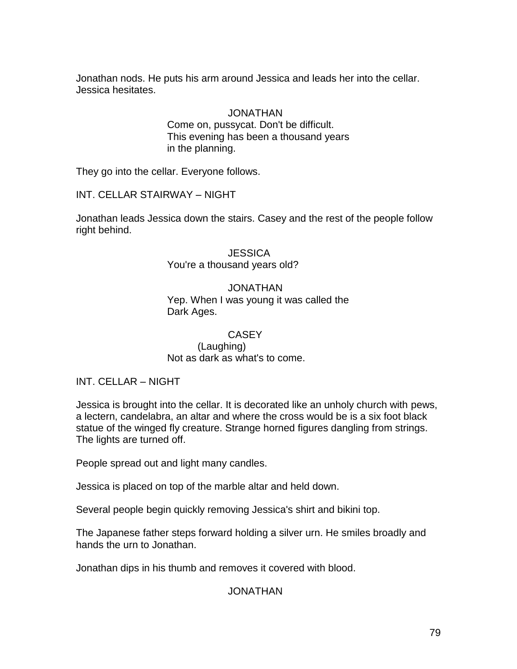Jonathan nods. He puts his arm around Jessica and leads her into the cellar. Jessica hesitates.

## JONATHAN

Come on, pussycat. Don't be difficult. This evening has been a thousand years in the planning.

They go into the cellar. Everyone follows.

INT. CELLAR STAIRWAY – NIGHT

Jonathan leads Jessica down the stairs. Casey and the rest of the people follow right behind.

## JESSICA You're a thousand years old?

## JONATHAN

#### Yep. When I was young it was called the Dark Ages.

## CASEY (Laughing) Not as dark as what's to come.

## INT. CELLAR – NIGHT

Jessica is brought into the cellar. It is decorated like an unholy church with pews, a lectern, candelabra, an altar and where the cross would be is a six foot black statue of the winged fly creature. Strange horned figures dangling from strings. The lights are turned off.

People spread out and light many candles.

Jessica is placed on top of the marble altar and held down.

Several people begin quickly removing Jessica's shirt and bikini top.

The Japanese father steps forward holding a silver urn. He smiles broadly and hands the urn to Jonathan.

Jonathan dips in his thumb and removes it covered with blood.

## JONATHAN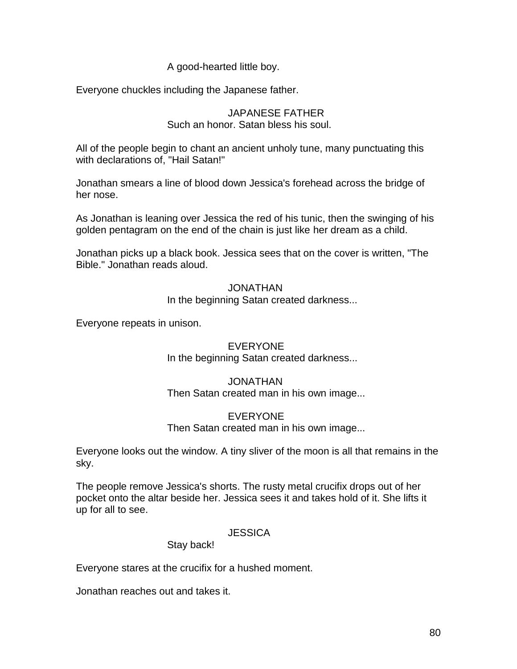## A good-hearted little boy.

Everyone chuckles including the Japanese father.

## JAPANESE FATHER Such an honor. Satan bless his soul.

All of the people begin to chant an ancient unholy tune, many punctuating this with declarations of, "Hail Satan!"

Jonathan smears a line of blood down Jessica's forehead across the bridge of her nose.

As Jonathan is leaning over Jessica the red of his tunic, then the swinging of his golden pentagram on the end of the chain is just like her dream as a child.

Jonathan picks up a black book. Jessica sees that on the cover is written, "The Bible." Jonathan reads aloud.

## JONATHAN

In the beginning Satan created darkness...

Everyone repeats in unison.

## EVERYONE In the beginning Satan created darkness...

## JONATHAN Then Satan created man in his own image...

## EVERYONE

Then Satan created man in his own image...

Everyone looks out the window. A tiny sliver of the moon is all that remains in the sky.

The people remove Jessica's shorts. The rusty metal crucifix drops out of her pocket onto the altar beside her. Jessica sees it and takes hold of it. She lifts it up for all to see.

## **JESSICA**

Stay back!

Everyone stares at the crucifix for a hushed moment.

Jonathan reaches out and takes it.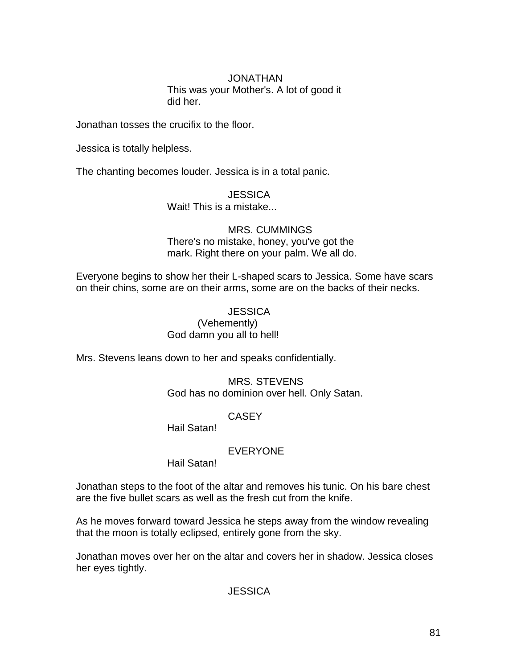## JONATHAN This was your Mother's. A lot of good it did her.

Jonathan tosses the crucifix to the floor.

Jessica is totally helpless.

The chanting becomes louder. Jessica is in a total panic.

## **JESSICA**

Wait! This is a mistake...

## MRS. CUMMINGS There's no mistake, honey, you've got the mark. Right there on your palm. We all do.

Everyone begins to show her their L-shaped scars to Jessica. Some have scars on their chins, some are on their arms, some are on the backs of their necks.

## **JESSICA** (Vehemently) God damn you all to hell!

Mrs. Stevens leans down to her and speaks confidentially.

## MRS. STEVENS God has no dominion over hell. Only Satan.

## CASEY

Hail Satan!

## EVERYONE

Hail Satan!

Jonathan steps to the foot of the altar and removes his tunic. On his bare chest are the five bullet scars as well as the fresh cut from the knife.

As he moves forward toward Jessica he steps away from the window revealing that the moon is totally eclipsed, entirely gone from the sky.

Jonathan moves over her on the altar and covers her in shadow. Jessica closes her eyes tightly.

## **JESSICA**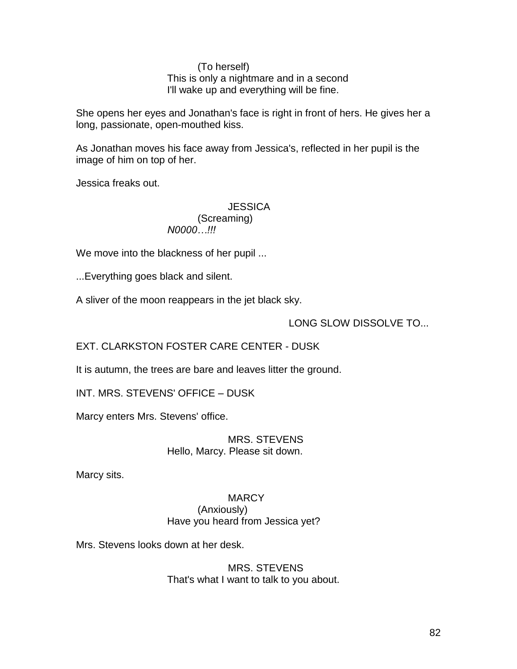(To herself) This is only a nightmare and in a second I'll wake up and everything will be fine.

She opens her eyes and Jonathan's face is right in front of hers. He gives her a long, passionate, open-mouthed kiss.

As Jonathan moves his face away from Jessica's, reflected in her pupil is the image of him on top of her.

Jessica freaks out.

## **JESSICA** (Screaming) *N0000…!!!*

We move into the blackness of her pupil ...

...Everything goes black and silent.

A sliver of the moon reappears in the jet black sky.

## LONG SLOW DISSOLVE TO...

## EXT. CLARKSTON FOSTER CARE CENTER - DUSK

It is autumn, the trees are bare and leaves litter the ground.

INT. MRS. STEVENS' OFFICE – DUSK

Marcy enters Mrs. Stevens' office.

MRS. STEVENS Hello, Marcy. Please sit down.

Marcy sits.

**MARCY** (Anxiously) Have you heard from Jessica yet?

Mrs. Stevens looks down at her desk.

MRS. STEVENS That's what I want to talk to you about.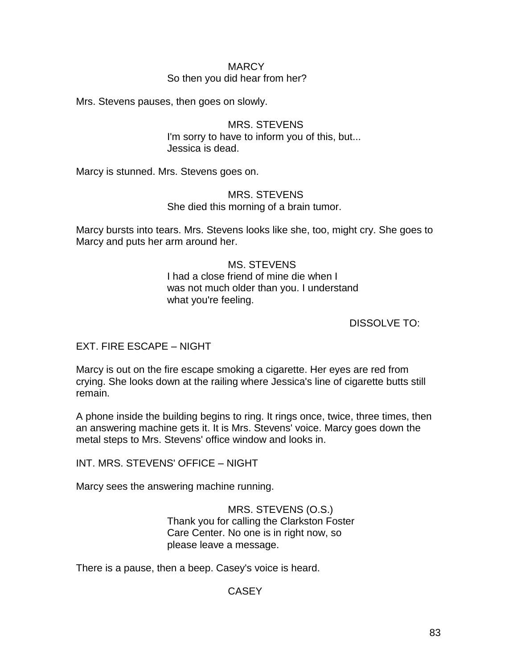## **MARCY**

## So then you did hear from her?

Mrs. Stevens pauses, then goes on slowly.

# MRS. STEVENS

I'm sorry to have to inform you of this, but... Jessica is dead.

Marcy is stunned. Mrs. Stevens goes on.

## MRS. STEVENS

She died this morning of a brain tumor.

Marcy bursts into tears. Mrs. Stevens looks like she, too, might cry. She goes to Marcy and puts her arm around her.

## MS. STEVENS

I had a close friend of mine die when I was not much older than you. I understand what you're feeling.

DISSOLVE TO:

EXT. FIRE ESCAPE – NIGHT

Marcy is out on the fire escape smoking a cigarette. Her eyes are red from crying. She looks down at the railing where Jessica's line of cigarette butts still remain.

A phone inside the building begins to ring. It rings once, twice, three times, then an answering machine gets it. It is Mrs. Stevens' voice. Marcy goes down the metal steps to Mrs. Stevens' office window and looks in.

INT. MRS. STEVENS' OFFICE – NIGHT

Marcy sees the answering machine running.

MRS. STEVENS (O.S.) Thank you for calling the Clarkston Foster Care Center. No one is in right now, so please leave a message.

There is a pause, then a beep. Casey's voice is heard.

**CASEY**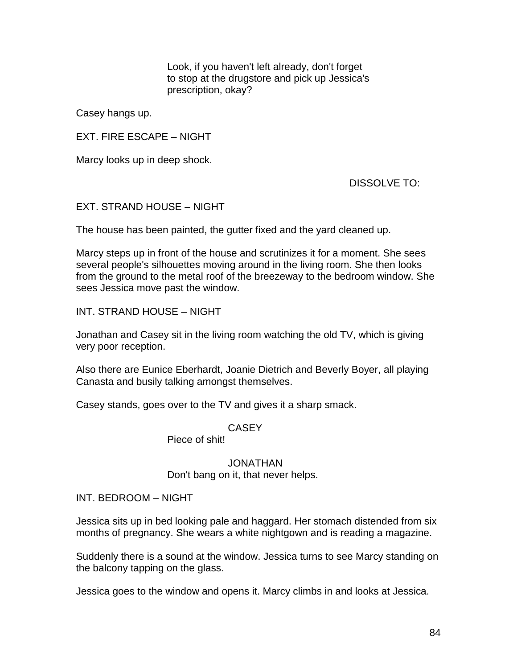Look, if you haven't left already, don't forget to stop at the drugstore and pick up Jessica's prescription, okay?

Casey hangs up.

EXT. FIRE ESCAPE – NIGHT

Marcy looks up in deep shock.

DISSOLVE TO:

EXT. STRAND HOUSE – NIGHT

The house has been painted, the gutter fixed and the yard cleaned up.

Marcy steps up in front of the house and scrutinizes it for a moment. She sees several people's silhouettes moving around in the living room. She then looks from the ground to the metal roof of the breezeway to the bedroom window. She sees Jessica move past the window.

INT. STRAND HOUSE – NIGHT

Jonathan and Casey sit in the living room watching the old TV, which is giving very poor reception.

Also there are Eunice Eberhardt, Joanie Dietrich and Beverly Boyer, all playing Canasta and busily talking amongst themselves.

Casey stands, goes over to the TV and gives it a sharp smack.

**CASEY** 

Piece of shit!

## JONATHAN

#### Don't bang on it, that never helps.

#### INT. BEDROOM – NIGHT

Jessica sits up in bed looking pale and haggard. Her stomach distended from six months of pregnancy. She wears a white nightgown and is reading a magazine.

Suddenly there is a sound at the window. Jessica turns to see Marcy standing on the balcony tapping on the glass.

Jessica goes to the window and opens it. Marcy climbs in and looks at Jessica.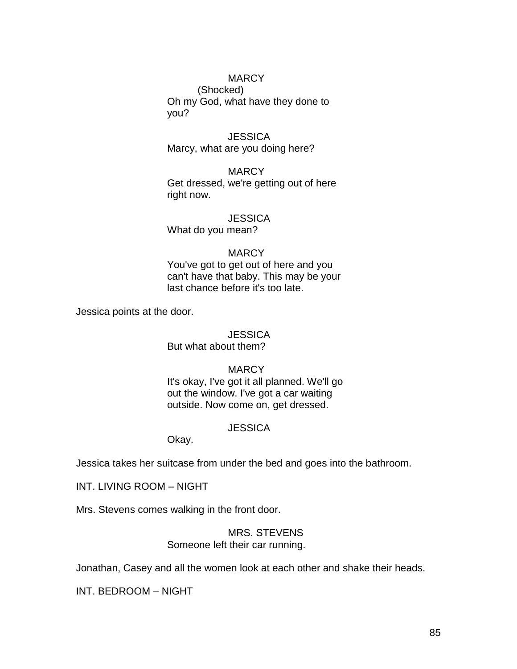#### **MARCY**

(Shocked) Oh my God, what have they done to you?

**JESSICA** Marcy, what are you doing here?

**MARCY** Get dressed, we're getting out of here right now.

**JESSICA** What do you mean?

#### **MARCY**

You've got to get out of here and you can't have that baby. This may be your last chance before it's too late.

Jessica points at the door.

**JESSICA** But what about them?

#### **MARCY**

It's okay, I've got it all planned. We'll go out the window. I've got a car waiting outside. Now come on, get dressed.

#### **JESSICA**

Okay.

Jessica takes her suitcase from under the bed and goes into the bathroom.

INT. LIVING ROOM – NIGHT

Mrs. Stevens comes walking in the front door.

#### MRS. STEVENS Someone left their car running.

Jonathan, Casey and all the women look at each other and shake their heads.

INT. BEDROOM – NIGHT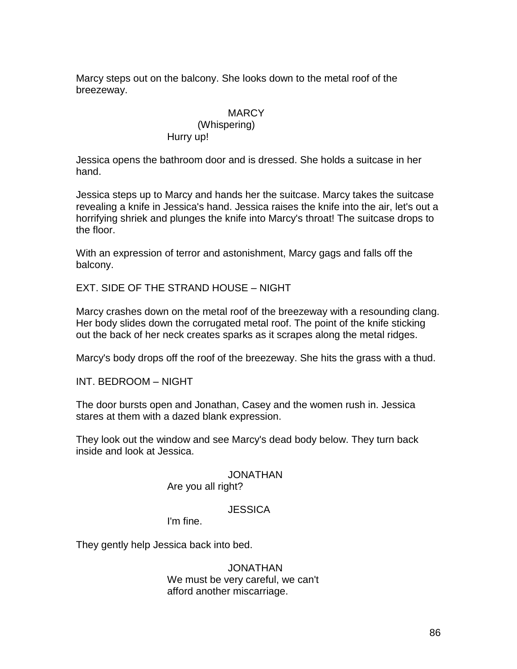Marcy steps out on the balcony. She looks down to the metal roof of the breezeway.

## **MARCY**

#### (Whispering) Hurry up!

Jessica opens the bathroom door and is dressed. She holds a suitcase in her hand.

Jessica steps up to Marcy and hands her the suitcase. Marcy takes the suitcase revealing a knife in Jessica's hand. Jessica raises the knife into the air, let's out a horrifying shriek and plunges the knife into Marcy's throat! The suitcase drops to the floor.

With an expression of terror and astonishment, Marcy gags and falls off the balcony.

EXT. SIDE OF THE STRAND HOUSE – NIGHT

Marcy crashes down on the metal roof of the breezeway with a resounding clang. Her body slides down the corrugated metal roof. The point of the knife sticking out the back of her neck creates sparks as it scrapes along the metal ridges.

Marcy's body drops off the roof of the breezeway. She hits the grass with a thud.

INT. BEDROOM – NIGHT

The door bursts open and Jonathan, Casey and the women rush in. Jessica stares at them with a dazed blank expression.

They look out the window and see Marcy's dead body below. They turn back inside and look at Jessica.

## JONATHAN

Are you all right?

## **JESSICA**

I'm fine.

They gently help Jessica back into bed.

JONATHAN We must be very careful, we can't afford another miscarriage.